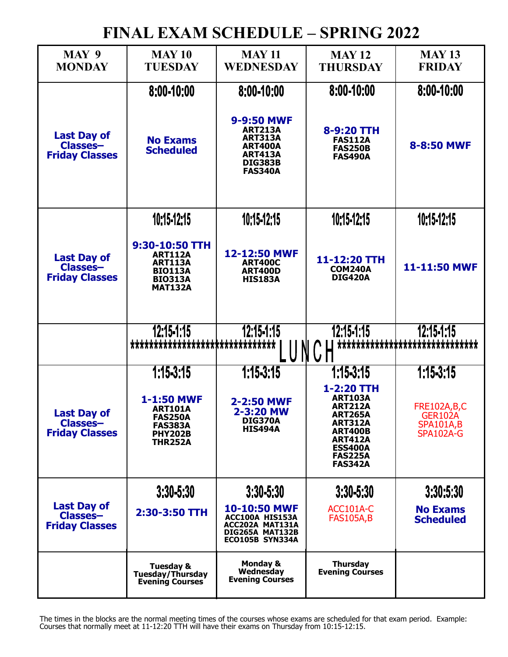## **FINAL EXAM SCHEDULE – SPRING 2022**

| MAY 9                                                          | <b>MAY 10</b>                                                                                            | <b>MAY 11</b>                                                                                                          | <b>MAY 12</b>                                                                                                                                                          | <b>MAY 13</b>                                                         |
|----------------------------------------------------------------|----------------------------------------------------------------------------------------------------------|------------------------------------------------------------------------------------------------------------------------|------------------------------------------------------------------------------------------------------------------------------------------------------------------------|-----------------------------------------------------------------------|
| <b>MONDAY</b>                                                  | <b>TUESDAY</b>                                                                                           | WEDNESDAY                                                                                                              | <b>THURSDAY</b>                                                                                                                                                        | <b>FRIDAY</b>                                                         |
|                                                                | 8:00-10:00                                                                                               | 8:00-10:00                                                                                                             | 8:00-10:00                                                                                                                                                             | 8:00-10:00                                                            |
| <b>Last Day of</b><br><b>Classes-</b><br><b>Friday Classes</b> | <b>No Exams</b><br><b>Scheduled</b>                                                                      | 9-9:50 MWF<br><b>ART213A</b><br><b>ART313A</b><br><b>ART400A</b><br><b>ART413A</b><br><b>DIG383B</b><br><b>FAS340A</b> | 8-9:20 TTH<br><b>FAS112A</b><br><b>FAS250B</b><br><b>FAS490A</b>                                                                                                       | 8-8:50 MWF                                                            |
|                                                                | 10:15-12:15                                                                                              | 10:15-12:15                                                                                                            | 10:15-12:15                                                                                                                                                            | 10:15-12:15                                                           |
| <b>Last Day of</b><br><b>Classes-</b><br><b>Friday Classes</b> | 9:30-10:50 TTH<br><b>ART112A</b><br><b>ART113A</b><br><b>BIO113A</b><br><b>BIO313A</b><br><b>MAT132A</b> | 12-12:50 MWF<br><b>ART400C</b><br><b>ART400D</b><br><b>HIS183A</b>                                                     | 11-12:20 TTH<br><b>COM240A</b><br><b>DIG420A</b>                                                                                                                       | 11-11:50 MWF                                                          |
|                                                                | 12:15-1:15                                                                                               | 12:15-1:15                                                                                                             | $12:15-1:15$                                                                                                                                                           | 12:15-1:15                                                            |
|                                                                | *******************************                                                                          |                                                                                                                        |                                                                                                                                                                        | ******************************                                        |
|                                                                |                                                                                                          |                                                                                                                        |                                                                                                                                                                        |                                                                       |
|                                                                | $1:15-3:15$                                                                                              | $1:15-3:15$                                                                                                            | $1:15-3:15$                                                                                                                                                            | 1:15-3:15                                                             |
| <b>Last Day of</b><br><b>Classes-</b><br><b>Friday Classes</b> | 1-1:50 MWF<br><b>ART101A</b><br><b>FAS250A</b><br><b>FAS383A</b><br><b>PHY202B</b><br><b>THR252A</b>     | 2-2:50 MWF<br>2-3:20 MW<br><b>DIG370A</b><br><b>HIS494A</b>                                                            | 1-2:20 TTH<br><b>ART103A</b><br><b>ART212A</b><br>AKI 265A<br><b>ART312A</b><br><b>ART400B</b><br><b>ART412A</b><br><b>ESS400A</b><br><b>FAS225A</b><br><b>FAS342A</b> | <b>FRE102A,B,C</b><br>GER102A<br><b>SPA101A,B</b><br><b>SPA102A-G</b> |
|                                                                | $3:30 - 5:30$                                                                                            | $3:30 - 5:30$                                                                                                          | 3:30-5:30                                                                                                                                                              | 3:30:5:30                                                             |
| <b>Last Day of</b><br><b>Classes-</b><br><b>Friday Classes</b> | 2:30-3:50 TTH                                                                                            | 10-10:50 MWF<br>ACC100A HIS153A<br>ACC202A MAT131A<br>DIG265A MAT132B<br>ECO105B SYN334A                               | ACC101A-C<br><b>FAS105A,B</b>                                                                                                                                          | <b>No Exams</b><br><b>Scheduled</b>                                   |
|                                                                | <b>Tuesday &amp;</b><br>Tuesday/Thursday<br><b>Evening Courses</b>                                       | <b>Monday &amp;</b><br>Wednesday<br><b>Evening Courses</b>                                                             | <b>Thursday</b><br><b>Evening Courses</b>                                                                                                                              |                                                                       |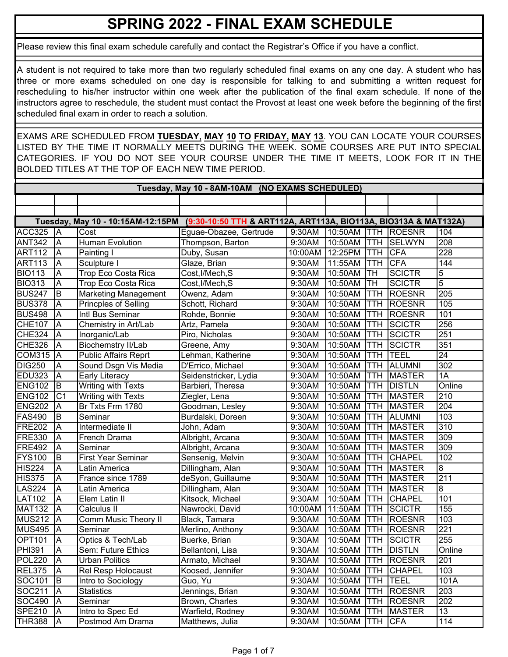## **SPRING 2022 - FINAL EXAM SCHEDULE**

Please review this final exam schedule carefully and contact the Registrar's Office if you have a conflict.

A student is not required to take more than two regularly scheduled final exams on any one day. A student who has three or more exams scheduled on one day is responsible for talking to and submitting a written request for rescheduling to his/her instructor within one week after the publication of the final exam schedule. If none of the instructors agree to reschedule, the student must contact the Provost at least one week before the beginning of the first scheduled final exam in order to reach a solution.

EXAMS ARE SCHEDULED FROM **TUESDAY, MAY 10 TO FRIDAY, MAY 13**. YOU CAN LOCATE YOUR COURSES LISTED BY THE TIME IT NORMALLY MEETS DURING THE WEEK. SOME COURSES ARE PUT INTO SPECIAL CATEGORIES. IF YOU DO NOT SEE YOUR COURSE UNDER THE TIME IT MEETS, LOOK FOR IT IN THE BOLDED TITLES AT THE TOP OF EACH NEW TIME PERIOD.

|               | Tuesday, May 10 - 8AM-10AM (NO EXAMS SCHEDULED) |                             |                                                                                                   |         |         |             |               |                     |  |  |
|---------------|-------------------------------------------------|-----------------------------|---------------------------------------------------------------------------------------------------|---------|---------|-------------|---------------|---------------------|--|--|
|               |                                                 |                             |                                                                                                   |         |         |             |               |                     |  |  |
|               |                                                 |                             |                                                                                                   |         |         |             |               |                     |  |  |
|               |                                                 |                             | Tuesday, May 10 - 10:15AM-12:15PM (9:30-10:50 TTH & ART112A, ART113A, BIO113A, BIO313A & MAT132A) |         |         |             |               |                     |  |  |
| ACC325        | <b>JA</b>                                       | Cost                        | Eguae-Obazee, Gertrude                                                                            | 9:30AM  | 10:50AM | <b>ITTH</b> | <b>ROESNR</b> | 104                 |  |  |
| <b>ANT342</b> | A                                               | <b>Human Evolution</b>      | Thompson, Barton                                                                                  | 9:30AM  | 10:50AM | <b>ITTH</b> | SELWYN        | 208                 |  |  |
| <b>ART112</b> | A                                               | Painting I                  | Duby, Susan                                                                                       | 10:00AM | 12:25PM | <b>ITTH</b> | <b>CFA</b>    | 228                 |  |  |
| <b>ART113</b> | A                                               | Sculpture I                 | Glaze, Brian                                                                                      | 9:30AM  | 11:55AM | <b>ITTH</b> | <b>CFA</b>    | 144                 |  |  |
| <b>BIO113</b> | A                                               | Trop Eco Costa Rica         | Cost, I/Mech, S                                                                                   | 9:30AM  | 10:50AM | <b>TH</b>   | <b>SCICTR</b> | 5                   |  |  |
| <b>BIO313</b> | A                                               | Trop Eco Costa Rica         | Cost, I/Mech, S                                                                                   | 9:30AM  | 10:50AM | Iтн         | <b>SCICTR</b> | 5                   |  |  |
| <b>BUS247</b> | B                                               | <b>Marketing Management</b> | Owenz, Adam                                                                                       | 9:30AM  | 10:50AM | <b>TTH</b>  | <b>ROESNR</b> | 205                 |  |  |
| <b>BUS378</b> | A                                               | Princples of Selling        | Schott, Richard                                                                                   | 9:30AM  | 10:50AM | <b>TTH</b>  | <b>ROESNR</b> | 105                 |  |  |
| <b>BUS498</b> | A                                               | Intl Bus Seminar            | Rohde, Bonnie                                                                                     | 9:30AM  | 10:50AM | TTH         | <b>ROESNR</b> | 101                 |  |  |
| <b>CHE107</b> | $\overline{\mathsf{A}}$                         | Chemistry in Art/Lab        | Artz, Pamela                                                                                      | 9:30AM  | 10:50AM | <b>TTH</b>  | <b>SCICTR</b> | 256                 |  |  |
| CHE324        | $\overline{\mathsf{A}}$                         | Inorganic/Lab               | Piro, Nicholas                                                                                    | 9:30AM  | 10:50AM | <b>TTH</b>  | <b>SCICTR</b> | 251                 |  |  |
| <b>CHE326</b> | A                                               | <b>Biochemstry II/Lab</b>   | Greene, Amy                                                                                       | 9:30AM  | 10:50AM | <b>TTH</b>  | <b>SCICTR</b> | 351                 |  |  |
| COM315        | <b>A</b>                                        | <b>Public Affairs Reprt</b> | Lehman, Katherine                                                                                 | 9:30AM  | 10:50AM | <b>TTH</b>  | <b>TEEL</b>   | $\overline{24}$     |  |  |
| <b>DIG250</b> | A                                               | Sound Dsgn Vis Media        | D'Errico, Michael                                                                                 | 9:30AM  | 10:50AM | <b>TTH</b>  | <b>ALUMNI</b> | 302                 |  |  |
| EDU323        | A                                               | <b>Early Literacy</b>       | Seidenstricker, Lydia                                                                             | 9:30AM  | 10:50AM | <b>TTH</b>  | <b>MASTER</b> | 1A                  |  |  |
| <b>ENG102</b> | B                                               | Writing with Texts          | Barbieri, Theresa                                                                                 | 9:30AM  | 10:50AM | <b>TTH</b>  | <b>DISTLN</b> | Online              |  |  |
| <b>ENG102</b> | C <sub>1</sub>                                  | <b>Writing with Texts</b>   | Ziegler, Lena                                                                                     | 9:30AM  | 10:50AM | <b>TTH</b>  | <b>MASTER</b> | 210                 |  |  |
| <b>ENG202</b> | A                                               | Br Txts Frm 1780            | Goodman, Lesley                                                                                   | 9:30AM  | 10:50AM | TTH         | <b>MASTER</b> | 204                 |  |  |
| <b>FAS490</b> | B                                               | Seminar                     | Burdalski, Doreen                                                                                 | 9:30AM  | 10:50AM | <b>TTH</b>  | <b>ALUMNI</b> | 103                 |  |  |
| <b>FRE202</b> | A                                               | Intermediate II             | John, Adam                                                                                        | 9:30AM  | 10:50AM | TTH         | <b>MASTER</b> | 310                 |  |  |
| <b>FRE330</b> | A                                               | French Drama                | Albright, Arcana                                                                                  | 9:30AM  | 10:50AM | <b>TTH</b>  | <b>MASTER</b> | 309                 |  |  |
| <b>FRE492</b> | $\overline{\mathsf{A}}$                         | Seminar                     | Albright, Arcana                                                                                  | 9:30AM  | 10:50AM | <b>TTH</b>  | <b>MASTER</b> | 309                 |  |  |
| <b>FYS100</b> | B                                               | <b>First Year Seminar</b>   | Sensenig, Melvin                                                                                  | 9:30AM  | 10:50AM | TTH         | <b>CHAPEL</b> | 102                 |  |  |
| <b>HIS224</b> | A                                               | Latin America               | Dillingham, Alan                                                                                  | 9:30AM  | 10:50AM | TTH         | <b>MASTER</b> | 8                   |  |  |
| <b>HIS375</b> | $\overline{A}$                                  | France since 1789           | deSyon, Guillaume                                                                                 | 9:30AM  | 10:50AM | TTH         | <b>MASTER</b> | 211                 |  |  |
| <b>LAS224</b> | $\overline{\mathsf{A}}$                         | Latin America               | Dillingham, Alan                                                                                  | 9:30AM  | 10:50AM | <b>TTH</b>  | <b>MASTER</b> | $\overline{\infty}$ |  |  |
| <b>LAT102</b> | $\overline{A}$                                  | Elem Latin II               | Kitsock, Michael                                                                                  | 9:30AM  | 10:50AM | <b>TTH</b>  | <b>CHAPEL</b> | 101                 |  |  |
| <b>MAT132</b> | A                                               | Calculus II                 | Nawrocki, David                                                                                   | 10:00AM | 11:50AM | TTH         | <b>SCICTR</b> | 155                 |  |  |
| <b>MUS212</b> | A                                               | Comm Music Theory II        | Black, Tamara                                                                                     | 9:30AM  | 10:50AM | TTH         | <b>ROESNR</b> | 103                 |  |  |
| <b>MUS495</b> | $\overline{\mathsf{A}}$                         | Seminar                     | Merlino, Anthony                                                                                  | 9:30AM  | 10:50AM | TTH         | <b>ROESNR</b> | 221                 |  |  |
| <b>OPT101</b> | A                                               | Optics & Tech/Lab           | Buerke, Brian                                                                                     | 9:30AM  | 10:50AM | TTH         | SCICTR        | 255                 |  |  |
| <b>PHI391</b> | $\overline{A}$                                  | Sem: Future Ethics          | Bellantoni, Lisa                                                                                  | 9:30AM  | 10:50AM | Ттн         | <b>DISTLN</b> | Online              |  |  |
| <b>POL220</b> | A                                               | Urban Politics              | Armato, Michael                                                                                   | 9:30AM  | 10:50AM | <b>TTH</b>  | <b>ROESNR</b> | 201                 |  |  |
| <b>REL375</b> | A                                               | <b>Rel Resp Holocaust</b>   | Koosed, Jennifer                                                                                  | 9:30AM  | 10:50AM | TTH         | <b>CHAPEL</b> | 103                 |  |  |
| SOC101        | B                                               | Intro to Sociology          | Guo, Yu                                                                                           | 9:30AM  | 10:50AM | <b>TTH</b>  | <b>TEEL</b>   | 101A                |  |  |
| SOC211        | A                                               | Statistics                  | Jennings, Brian                                                                                   | 9:30AM  | 10:50AM | <b>TTH</b>  | <b>ROESNR</b> | 203                 |  |  |
| <b>SOC490</b> | A                                               | Seminar                     | Brown, Charles                                                                                    | 9:30AM  | 10:50AM | <b>ITTH</b> | <b>ROESNR</b> | 202                 |  |  |
| <b>SPE210</b> | A                                               | Intro to Spec Ed            | Warfield, Rodney                                                                                  | 9:30AM  | 10:50AM | <b>ITTH</b> | <b>MASTER</b> | 13                  |  |  |
| <b>THR388</b> | A                                               | Postmod Am Drama            | Matthews, Julia                                                                                   | 9:30AM  | 10:50AM | <b>ITTH</b> | <b>CFA</b>    | 114                 |  |  |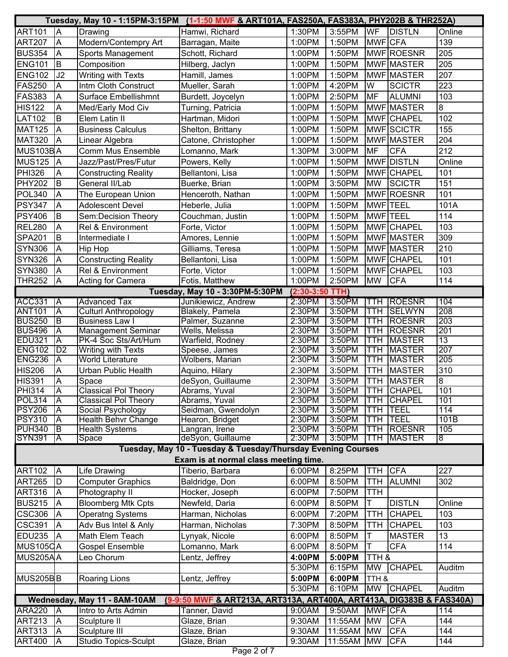|                                | Tuesday, May 10 - 1:15PM-3:15PM (1-1:50 MWF & ART101A, FAS250A, FAS383A, PHY202B & THR252A) |                                                      |                                                                      |                   |                  |                 |                                |                |
|--------------------------------|---------------------------------------------------------------------------------------------|------------------------------------------------------|----------------------------------------------------------------------|-------------------|------------------|-----------------|--------------------------------|----------------|
| <b>ART101</b>                  | A                                                                                           | Drawing                                              | Hamwi, Richard                                                       | 1:30PM            | 3:55PM           | <b>WF</b>       | <b>DISTLN</b>                  | Online         |
| <b>ART207</b>                  | $\overline{A}$                                                                              | Modern/Contempry Art                                 | Barragan, Maite                                                      | 1:00PM            | 1:50PM           | <b>MWF</b> CFA  |                                | 139            |
| <b>BUS354</b>                  | $\overline{A}$                                                                              | <b>Sports Management</b>                             | Schott, Richard                                                      | 1:00PM            | 1:50PM           |                 | MWF ROESNR                     | 205            |
| <b>ENG101</b>                  | B                                                                                           | Composition                                          | Hilberg, Jaclyn                                                      | 1:00PM            | 1:50PM           |                 | MWF MASTER                     | 205            |
| <b>ENG102</b>                  | J2                                                                                          | Writing with Texts                                   | Hamill, James                                                        | 1:00PM            | 1:50PM           |                 | MWF MASTER                     | 207            |
| <b>FAS250</b>                  | A                                                                                           | Intm Cloth Construct                                 | Mueller, Sarah                                                       | 1:00PM            | 4:20PM           | W               | <b>SCICTR</b>                  | 223            |
| <b>FAS383</b>                  | A                                                                                           | <b>Surface Embellishmnt</b>                          | Burdett, Joycelyn                                                    | 1:00PM            | 2:50PM           | <b>MF</b>       | <b>ALUMNI</b>                  | 103            |
| <b>HIS122</b>                  | A                                                                                           | Med/Early Mod Civ                                    | Turning, Patricia                                                    | 1:00PM            | 1:50PM           |                 | MWF MASTER                     | $\overline{8}$ |
| <b>LAT102</b>                  | B                                                                                           | Elem Latin II                                        | Hartman, Midori                                                      | 1:00PM            | 1:50PM           |                 | MWF CHAPEL                     | 102            |
| <b>MAT125</b>                  | A                                                                                           | <b>Business Calculus</b>                             | Shelton, Brittany                                                    | 1:00PM            | 1:50PM           |                 | MWF SCICTR                     | 155            |
| <b>MAT320</b>                  | A                                                                                           | Linear Algebra                                       | Catone, Christopher                                                  | 1:00PM            | 1:50PM           |                 | MWF MASTER                     | 204            |
| MUS103BA                       |                                                                                             | <b>Comm Mus Ensemble</b>                             | Lomanno, Mark                                                        | 1:30PM            | 3:00PM           | <b>MF</b>       | <b>CFA</b>                     | 212            |
| <b>MUS125</b>                  | $\overline{A}$                                                                              | Jazz/Past/Pres/Futur                                 | Powers, Kelly                                                        | 1:00PM            | 1:50PM           |                 | <b>MWF</b> DISTLN              | Online         |
| <b>PHI326</b>                  | A                                                                                           | <b>Constructing Reality</b>                          | Bellantoni, Lisa                                                     | 1:00PM            | 1:50PM           |                 | MWF CHAPEL                     | 101            |
| <b>PHY202</b>                  | B                                                                                           | General II/Lab                                       | Buerke, Brian                                                        | 1:00PM            | 3:50PM           | <b>MW</b>       | <b>SCICTR</b>                  | 151            |
| <b>POL340</b>                  | A                                                                                           | The European Union                                   | Henceroth, Nathan                                                    | 1:00PM            | 1:50PM           |                 | MWF ROESNR                     | 101            |
| <b>PSY347</b>                  | A                                                                                           | <b>Adolescent Devel</b>                              | Heberle, Julia                                                       | 1:00PM            | 1:50PM           | <b>MWF TEEL</b> |                                | 101A           |
| <b>PSY406</b>                  | B                                                                                           | Sem:Decision Theory                                  | Couchman, Justin                                                     | 1:00PM            | 1:50PM           | <b>MWF TEEL</b> |                                | 114            |
| <b>REL280</b>                  | A                                                                                           | Rel & Environment                                    | Forte, Victor                                                        | 1:00PM            | 1:50PM           | <b>MWF</b>      | <b>CHAPEL</b>                  | 103            |
|                                | <b>B</b>                                                                                    |                                                      |                                                                      |                   |                  |                 |                                | 309            |
| <b>SPA201</b>                  |                                                                                             | Intermediate I                                       | Amores, Lennie                                                       | 1:00PM            | 1:50PM           |                 | MWF MASTER                     |                |
| <b>SYN306</b>                  | A                                                                                           | Hip Hop                                              | Gilliams, Teresa                                                     | 1:00PM            | 1:50PM           |                 | <b>MWF MASTER</b>              | 210            |
| <b>SYN326</b>                  | A                                                                                           | <b>Constructing Reality</b>                          | Bellantoni, Lisa                                                     | 1:00PM            | 1:50PM           |                 | MWF CHAPEL                     | 101            |
| <b>SYN380</b>                  | A                                                                                           | Rel & Environment                                    | Forte, Victor                                                        | 1:00PM            | 1:50PM           |                 | MWF CHAPEL                     | 103            |
| <b>THR252</b>                  | A                                                                                           | Acting for Camera                                    | Fotis, Matthew                                                       | 1:00PM            | 2:50PM           | <b>MW</b>       | <b>CFA</b>                     | 114            |
|                                |                                                                                             |                                                      | Tuesday, May 10 - 3:30PM-5:30PM                                      | $(2:30-3:50$ TTH) |                  |                 |                                |                |
| <b>ACC331</b><br><b>ANT101</b> | A<br>$\overline{\mathsf{A}}$                                                                | <b>Advanced Tax</b>                                  | Junikiewicz, Andrew                                                  | 2:30PM            | 3:50PM<br>3:50PM | TTH<br>TTH      | <b>ROESNR</b><br><b>SELWYN</b> | 104<br>208     |
| <b>BUS250</b>                  | B                                                                                           | <b>Culturl Anthropology</b><br><b>Business Law I</b> | <b>Blakely, Pamela</b><br>Palmer, Suzanne                            | 2:30PM<br>2:30PM  | 3:50PM           | TTH             | <b>ROESNR</b>                  | 203            |
| <b>BUS496</b>                  | A                                                                                           | Management Seminar                                   | Wells, Melissa                                                       | 2:30PM            | 3:50PM           | TTH             | <b>ROESNR</b>                  | 201            |
| <b>EDU321</b>                  | $\overline{\mathsf{A}}$                                                                     | PK-4 Soc Sts/Art/Hum                                 | Warfield, Rodney                                                     | 2:30PM            | 3:50PM           | <b>TTH</b>      | <b>MASTER</b>                  | 13             |
| <b>ENG102</b>                  | D2                                                                                          | <b>Writing with Texts</b>                            | Speese, James                                                        | 2:30PM            | 3:50PM           | <b>TTH</b>      | <b>MASTER</b>                  | 207            |
| <b>ENG236</b>                  | A                                                                                           | <b>World Literature</b>                              | Wolbers, Marian                                                      | 2:30PM            | 3:50PM           | <b>TTH</b>      | <b>MASTER</b>                  | 205            |
| <b>HIS206</b>                  | A                                                                                           | <b>Urban Public Health</b>                           | Aquino, Hilary                                                       | 2:30PM            | 3:50PM           | <b>TTH</b>      | <b>MASTER</b>                  | 310            |
| <b>HIS391</b>                  | Ā                                                                                           | Space                                                | deSyon, Guillaume                                                    | 2:30PM            | 3:50PM           | <b>TTH</b>      | <b>MASTER</b>                  | œ              |
| <b>PHI314</b>                  | ΙĀ                                                                                          | <b>Classical Pol Theory</b>                          | Abrams, Yuval                                                        | 2:30PM            | 3:50PM           | <b>TTH</b>      | <b>CHAPEL</b>                  | 101            |
| <b>POL314</b>                  | $\overline{\mathsf{A}}$                                                                     | <b>Classical Pol Theory</b>                          | Abrams, Yuval                                                        | 2:30PM            | 3:50PM           | <b>TTH</b>      | <b>CHAPEL</b>                  | 101            |
| <b>PSY206</b>                  | A                                                                                           | Social Psychology                                    | Seidman, Gwendolyn                                                   | 2:30PM            | 3:50PM           | TTH             | <b>TEEL</b>                    | 114            |
| <b>PSY310</b>                  | A                                                                                           | Health Behvr Change                                  | Hearon, Bridget                                                      | 2:30PM            | 3:50PM           | <b>TTH</b>      | <b>TEEL</b>                    | 101B           |
| <b>PUH340</b>                  | ΙB                                                                                          | <b>Health Systems</b>                                | Langran, Irene                                                       | 2:30PM            | 3:50PM           | <b>TTH</b>      | <b>ROESNR</b>                  | 105            |
| <b>SYN391</b>                  | A                                                                                           | Space                                                | deSyon, Guillaume                                                    | 2:30PM            | 3:50PM           | TTH             | <b>IMASTER</b>                 | 8              |
|                                |                                                                                             |                                                      | Tuesday, May 10 - Tuesday & Tuesday/Thursday Evening Courses         |                   |                  |                 |                                |                |
|                                |                                                                                             |                                                      | Exam is at normal class meeting time.                                |                   |                  |                 |                                |                |
| <b>ART102</b>                  | A                                                                                           | <b>Life Drawing</b>                                  | Tiberio, Barbara                                                     | 6:00PM            | 8:25PM           | <b>TTH</b>      | <b>CFA</b>                     | 227            |
| <b>ART265</b>                  | D                                                                                           | <b>Computer Graphics</b>                             | Baldridge, Don                                                       | 6:00PM            | 8:50PM           | <b>TTH</b>      | <b>ALUMNI</b>                  | 302            |
| <b>ART316</b>                  | A                                                                                           | Photography II                                       | Hocker, Joseph                                                       | 6:00PM            | 7:50PM           | <b>TTH</b>      |                                |                |
| <b>BUS215</b>                  | A                                                                                           | <b>Bloomberg Mtk Cpts</b>                            | Newfeld, Daria                                                       | 6:00PM            | 8:50PM           | Τ               | <b>DISTLN</b>                  | Online         |
| <b>CSC306</b>                  | A                                                                                           | <b>Operatng Systems</b>                              | Harman, Nicholas                                                     | 6:00PM            | 7:20PM           | <b>TTH</b>      | <b>CHAPEL</b>                  | 103            |
| <b>CSC391</b>                  | A                                                                                           | Adv Bus Intel & Anly                                 | Harman, Nicholas                                                     | 7:30PM            | 8:50PM           | TTH             | <b>CHAPEL</b>                  | 103            |
| EDU235                         | A                                                                                           | Math Elem Teach                                      | Lynyak, Nicole                                                       | 6:00PM            | 8:50PM           | T               | <b>MASTER</b>                  | 13             |
| MUS105CA                       |                                                                                             | <b>Gospel Ensemble</b>                               | Lomanno, Mark                                                        | 6:00PM            | 8:50PM           | T               | <b>CFA</b>                     | 114            |
| MUS205AA                       | Leo Chorum<br>Lentz, Jeffrey                                                                |                                                      |                                                                      | 4:00PM            | 5:00PM           | TTH &           |                                |                |
|                                |                                                                                             |                                                      |                                                                      | 5:30PM            | 6:15PM           | <b>MW</b>       | CHAPEL                         | Auditm         |
| MUS205BB                       |                                                                                             | Roaring Lions                                        | Lentz, Jeffrey                                                       | 5:00PM            | 6:00PM           | TTH &           |                                |                |
|                                |                                                                                             |                                                      |                                                                      | 5:30PM            | 6:10PM           | <b>MW</b>       | <b>CHAPEL</b>                  | Auditm         |
|                                |                                                                                             | Wednesday, May 11 - 8AM-10AM                         | (9-9:50 MWF & ART213A, ART313A, ART400A, ART413A, DIG383B & FAS340A) |                   |                  |                 |                                |                |
| <b>ARA220</b>                  | ĪĀ                                                                                          | Intro to Arts Admin                                  | Tanner, David                                                        | 9:00AM            | 9:50AM           | <b>MWF CFA</b>  |                                | 114            |
| <b>ART213</b>                  | A                                                                                           | Sculpture II                                         | Glaze, Brian                                                         | 9:30AM            | 11:55AM          | <b>MW</b>       | <b>CFA</b>                     | 144            |
| <b>ART313</b>                  | $\overline{\mathsf{A}}$                                                                     | Sculpture III                                        | Glaze, Brian                                                         | 9:30AM            | 11:55AM          | <b>MW</b>       | <b>CFA</b>                     | 144            |
| <b>ART400</b>                  | $\overline{\mathsf{A}}$                                                                     | <b>Studio Topics-Sculpt</b>                          | Glaze, Brian                                                         | 9:30AM            | 11:55AM          | <b>MW</b>       | <b>CFA</b>                     | 144            |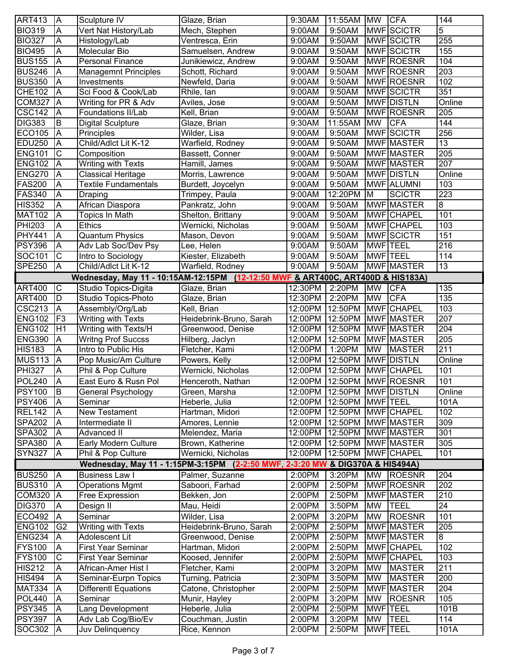| <b>ART413</b> | $\overline{A}$          | Sculpture IV                | Glaze, Brian                                                                    | 9:30AM          | 11:55AM                    | <b>MW</b>       | <b>CFA</b>        | 144              |
|---------------|-------------------------|-----------------------------|---------------------------------------------------------------------------------|-----------------|----------------------------|-----------------|-------------------|------------------|
| <b>BIO319</b> | A                       | Vert Nat History/Lab        | Mech, Stephen                                                                   | 9:00AM          | 9:50AM                     |                 | <b>MWF</b> SCICTR | 5                |
| <b>BIO327</b> | A                       | Histology/Lab               | Ventresca, Erin                                                                 | 9:00AM          | 9:50AM                     |                 | <b>MWF</b> SCICTR | 255              |
| <b>BIO495</b> | A                       | Molecular Bio               | Samuelsen, Andrew                                                               | 9:00AM          | 9:50AM                     |                 | MWF SCICTR        | 155              |
| <b>BUS155</b> | A                       | <b>Personal Finance</b>     | Junikiewicz, Andrew                                                             | 9:00AM          | 9:50AM                     |                 | MWF ROESNR        | 104              |
| <b>BUS246</b> | A                       | <b>Managemnt Principles</b> | Schott, Richard                                                                 | 9:00AM          | 9:50AM                     |                 | MWF ROESNR        | $\overline{203}$ |
| <b>BUS350</b> | A                       | Investments                 | Newfeld, Daria                                                                  | 9:00AM          | 9:50AM                     |                 | MWF ROESNR        | 102              |
| <b>CHE102</b> | A                       | Sci Food & Cook/Lab         | Rhile, Ian                                                                      | 9:00AM          | 9:50AM                     |                 | MWF SCICTR        | 351              |
| <b>COM327</b> | $\overline{\mathsf{A}}$ | Writing for PR & Adv        | Aviles, Jose                                                                    | 9:00AM          | 9:50AM                     |                 | MWF DISTLN        | Online           |
| <b>CSC142</b> | A                       | Foundations II/Lab          | Kell, Brian                                                                     | 9:00AM          | 9:50AM                     |                 | MWF ROESNR        | 205              |
| <b>DIG383</b> | B                       | <b>Digital Sculpture</b>    | Glaze, Brian                                                                    | 9:30AM          | 11:55AM                    | <b>MW</b>       | <b>CFA</b>        | 144              |
| ECO105        | A                       | Principles                  | Wilder, Lisa                                                                    | 9:00AM          | 9:50AM                     |                 | <b>MWF</b> SCICTR | 256              |
| <b>EDU250</b> | $\overline{\mathsf{A}}$ | Child/Adlct Lit K-12        | Warfield, Rodney                                                                | 9:00AM          | 9:50AM                     |                 | MWF MASTER        | 13               |
| <b>ENG101</b> | $\mathsf C$             | Composition                 | Bassett, Conner                                                                 | 9:00AM          | 9:50AM                     |                 | MWF MASTER        | 205              |
| <b>ENG102</b> | A                       | <b>Writing with Texts</b>   | Hamill, James                                                                   | 9:00AM          | 9:50AM                     |                 | MWF MASTER        | 207              |
| <b>ENG270</b> | $\overline{A}$          | <b>Classical Heritage</b>   | Morris, Lawrence                                                                | 9:00AM          | 9:50AM                     |                 | MWF DISTLN        | Online           |
| <b>FAS200</b> | A                       | <b>Textile Fundamentals</b> | Burdett, Joycelyn                                                               | 9:00AM          | 9:50AM                     |                 | <b>MWF</b> ALUMNI | 103              |
| <b>FAS340</b> | A                       | Draping                     | Trimpey, Paula                                                                  | 9:00AM          | 12:20PM                    | M               | <b>SCICTR</b>     | 223              |
| <b>HIS352</b> | A                       | African Diaspora            | Pankratz, John                                                                  | 9:00AM          | 9:50AM                     |                 | MWF MASTER        | 8                |
| <b>MAT102</b> | A                       | <b>Topics In Math</b>       | Shelton, Brittany                                                               | 9:00AM          | 9:50AM                     |                 | MWF CHAPEL        | 101              |
| <b>PHI203</b> | A                       | <b>Ethics</b>               | Wernicki, Nicholas                                                              | 9:00AM          | 9:50AM                     |                 | MWF CHAPEL        | 103              |
| <b>PHY441</b> | A                       | <b>Quantum Physics</b>      | Mason, Devon                                                                    | 9:00AM          | 9:50AM                     |                 | MWF SCICTR        | 151              |
| <b>PSY396</b> | $\overline{\mathsf{A}}$ | Adv Lab Soc/Dev Psy         | Lee, Helen                                                                      | 9:00AM          | 9:50AM                     | <b>MWF TEEL</b> |                   | 216              |
| SOC101        | $\mathsf C$             | Intro to Sociology          | Kiester, Elizabeth                                                              | 9:00AM          | 9:50AM                     | <b>MWF TEEL</b> |                   | 114              |
| <b>SPE250</b> | A                       | Child/Adlct Lit K-12        | Warfield, Rodney                                                                | 9:00AM          | 9:50AM                     |                 | MWF MASTER        | 13               |
|               |                         |                             | Wednesday, May 11 - 10:15AM-12:15PM (12-12:50 MWF & ART400C, ART400D & HIS183A) |                 |                            |                 |                   |                  |
| <b>ART400</b> | C                       | Studio Topics-Digita        | Glaze, Brian                                                                    | 12:30PM         | 2:20PM                     | <b>MW</b>       | <b>CFA</b>        | 135              |
| <b>ART400</b> | D                       | Studio Topics-Photo         | Glaze, Brian                                                                    | 12:30PM         | 2:20PM                     | <b>MW</b>       | <b>CFA</b>        | 135              |
| <b>CSC213</b> | A                       | Assembly/Org/Lab            | Kell, Brian                                                                     | 12:00PM         | 12:50PM                    | <b>MWF</b>      | <b>CHAPEL</b>     | 103              |
| <b>ENG102</b> | F <sub>3</sub>          | Writing with Texts          | Heidebrink-Bruno, Sarah                                                         | 12:00PM         | 12:50PM                    |                 | MWF MASTER        | 207              |
| <b>ENG102</b> | H1                      | Writing with Texts/H        | Greenwood, Denise                                                               | 12:00PM         | 12:50PM                    |                 | MWF MASTER        | 204              |
| <b>ENG390</b> | A                       | <b>Writng Prof Succss</b>   | Hilberg, Jaclyn                                                                 | 12:00PM         | 12:50PM                    |                 | MWF MASTER        | 205              |
| <b>HIS183</b> | A                       | Intro to Public His         | Fletcher, Kami                                                                  | 12:00PM         | 1:20PM                     | <b>MW</b>       | <b>MASTER</b>     | 211              |
| <b>MUS113</b> | A                       | Pop Music/Am Culture        | Powers, Kelly                                                                   | 12:00PM         | 12:50PM                    |                 | MWF DISTLN        | Online           |
| <b>PHI327</b> | A                       | Phil & Pop Culture          | Wernicki, Nicholas                                                              | 12:00PM         | 12:50PM                    |                 | MWF CHAPEL        | 101              |
| <b>POL240</b> | A                       | East Euro & Rusn Pol        | Henceroth, Nathan                                                               |                 | 12:00PM 12:50PM MWF ROESNR |                 |                   | 101              |
| <b>PSY100</b> | lВ                      | <b>General Psychology</b>   | Green, Marsha                                                                   |                 | 12:00PM 12:50PM MWF DISTLN |                 |                   | Online           |
| <b>PSY406</b> | A                       | Seminar                     | Heberle, Julia                                                                  | 12:00PM         | 12:50PM                    |                 | <b>MWF</b> TEEL   | 101A             |
| <b>REL142</b> | A                       | New Testament               | Hartman, Midori                                                                 | 12:00PM 12:50PM |                            |                 | MWF CHAPEL        | 102              |
| <b>SPA202</b> | A                       | Intermediate II             | Amores, Lennie                                                                  | 12:00PM         | 12:50PM                    |                 | <b>MWF MASTER</b> | 309              |
| <b>SPA302</b> | A                       | Advanced II                 | Melendez, Maria                                                                 | 12:00PM         | 12:50PM                    |                 | <b>MWF MASTER</b> | 301              |
| <b>SPA380</b> | A                       | Early Modern Culture        | Brown, Katherine                                                                | 12:00PM         | 12:50PM                    |                 | <b>MWF MASTER</b> | 305              |
| <b>SYN327</b> | A                       | Phil & Pop Culture          | Wernicki, Nicholas                                                              | 12:00PM 12:50PM |                            |                 | <b>MWF</b> CHAPEL | 101              |
|               |                         |                             | Wednesday, May 11 - 1:15PM-3:15PM (2-2:50 MWF, 2-3:20 MW & DIG370A & HIS494A)   |                 |                            |                 |                   |                  |
| <b>BUS250</b> | ΙA                      | <b>Business Law I</b>       | Palmer, Suzanne                                                                 | 2:00PM          | 3:20PM                     | <b>MW</b>       | ROESNR            | $\overline{204}$ |
| <b>BUS310</b> | A                       | <b>Operations Mgmt</b>      | Saboori, Farhad                                                                 | 2:00PM          | 2:50PM                     |                 | MWF ROESNR        | 202              |
| <b>COM320</b> | A                       | <b>Free Expression</b>      | Bekken, Jon                                                                     | 2:00PM          | 2:50PM                     |                 | MWF MASTER        | 210              |
| <b>DIG370</b> | A                       | Design II                   | Mau, Heidi                                                                      | 2:00PM          | 3:50PM                     | <b>MW</b>       | <b>TEEL</b>       | 24               |
| <b>ECO492</b> | A                       | Seminar                     | Wilder, Lisa                                                                    | 2:00PM          | 3:20PM                     | <b>MW</b>       | <b>ROESNR</b>     | 101              |
| <b>ENG102</b> | G <sub>2</sub>          | Writing with Texts          | Heidebrink-Bruno, Sarah                                                         | 2:00PM          | 2:50PM                     |                 | <b>MWF MASTER</b> | 205              |
| <b>ENG234</b> | A                       | Adolescent Lit              | Greenwood, Denise                                                               | 2:00PM          | 2:50PM                     |                 | MWF MASTER        | 8                |
| <b>FYS100</b> | A                       | <b>First Year Seminar</b>   | Hartman, Midori                                                                 | 2:00PM          | 2:50PM                     |                 | MWF CHAPEL        | 102              |
| <b>FYS100</b> | С                       | <b>First Year Seminar</b>   | Koosed, Jennifer                                                                | 2:00PM          | 2:50PM                     |                 | MWF CHAPEL        | 103              |
| <b>HIS212</b> | A                       | African-Amer Hist I         | Fletcher, Kami                                                                  | 2:00PM          | 3:20PM                     | MW              | <b>MASTER</b>     | 211              |
| <b>HIS494</b> | Α                       | Seminar-Eurpn Topics        | Turning, Patricia                                                               | 2:30PM          | 3:50PM                     | MW              | <b>MASTER</b>     | 200              |
| <b>MAT334</b> | A                       | <b>Differentl Equations</b> | Catone, Christopher                                                             | 2:00PM          | 2:50PM                     |                 | MWF MASTER        | 204              |
| <b>POL440</b> | A                       | Seminar                     | Munir, Hayley                                                                   | 2:00PM          | 3:20PM                     | <b>MW</b>       | <b>ROESNR</b>     | 105              |
| <b>PSY345</b> | A                       | Lang Development            | Heberle, Julia                                                                  | 2:00PM          | 2:50PM                     |                 | <b>MWF</b> TEEL   | 101B             |
| <b>PSY397</b> | A                       | Adv Lab Cog/Bio/Ev          | Couchman, Justin                                                                | 2:00PM          | 3:20PM                     | <b>MW</b>       | <b>TEEL</b>       | 114              |
| SOC302        | A                       | Juv Delinquency             | Rice, Kennon                                                                    | 2:00PM          | 2:50PM                     |                 | <b>MWF</b> TEEL   | 101A             |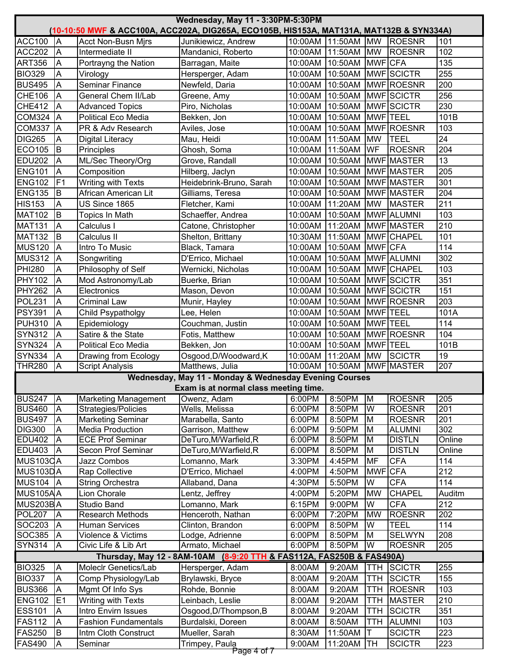|                    |                         |                                             | Wednesday, May 11 - 3:30PM-5:30PM<br><u>(10-10:50 MWF &amp; ACC100A, ACC202A, DIG265A, ECO105B, HIS153A, MAT131A, MAT132B &amp; SYN334A)</u> |                  |                            |                 |                              |            |
|--------------------|-------------------------|---------------------------------------------|----------------------------------------------------------------------------------------------------------------------------------------------|------------------|----------------------------|-----------------|------------------------------|------------|
| <b>ACC100</b>      | <b>JA</b>               | <b>Acct Non-Busn Mirs</b>                   | Junikiewicz, Andrew                                                                                                                          |                  | 10:00AM 11:50AM MW         |                 | ROESNR                       | 101        |
| <b>ACC202</b>      | İΑ                      | Intermediate II                             | Mandanici, Roberto                                                                                                                           | 10:00AM          | 11:50AM                    | <b>MW</b>       | <b>ROESNR</b>                | 102        |
| <b>ART356</b>      | A                       | Portrayng the Nation                        | Barragan, Maite                                                                                                                              | 10:00AM 10:50AM  |                            | MWF CFA         |                              | 135        |
| <b>BIO329</b>      | A                       | Virology                                    | Hersperger, Adam                                                                                                                             | 10:00AM          | 10:50AM                    |                 | MWF SCICTR                   | 255        |
| <b>BUS495</b>      | A                       | Seminar Finance                             | Newfeld, Daria                                                                                                                               |                  | 10:00AM 10:50AM            |                 | MWF ROESNR                   | 200        |
| <b>CHE106</b>      | A                       | General Chem II/Lab                         | Greene, Amy                                                                                                                                  | 10:00AM          | 10:50AM                    |                 | <b>MWF</b> SCICTR            | 256        |
| <b>CHE412</b>      | A                       | <b>Advanced Topics</b>                      | Piro, Nicholas                                                                                                                               | 10:00AM          | 10:50AM                    |                 | MWF SCICTR                   | 230        |
| <b>COM324</b>      | <b>J</b> A              | <b>Political Eco Media</b>                  | Bekken, Jon                                                                                                                                  | 10:00AM          | 10:50AM                    | MWF TEEL        |                              | 101B       |
| <b>COM337</b>      | <b>JA</b>               | PR & Adv Research                           | Aviles, Jose                                                                                                                                 | 10:00AM          | 10:50AM                    |                 | MWF ROESNR                   | 103        |
| <b>DIG265</b>      | A                       | <b>Digital Literacy</b>                     | Mau, Heidi                                                                                                                                   | 10:00AM          | 11:50AM                    | <b>MW</b>       | <b>TEEL</b>                  | 24         |
| <b>ECO105</b>      | lВ                      | Principles                                  | Ghosh, Soma                                                                                                                                  | 10:00AM          | 11:50AM                    | WF              | <b>ROESNR</b>                | 204        |
| <b>EDU202</b>      | A                       | ML/Sec Theory/Org                           | Grove, Randall                                                                                                                               | 10:00AM          | 10:50AM                    |                 | <b>MWF MASTER</b>            | 13         |
| <b>ENG101</b>      | A                       | Composition                                 | Hilberg, Jaclyn                                                                                                                              | 10:00AM          | 10:50AM                    |                 | MWF MASTER                   | 205        |
| <b>ENG102</b>      | F <sub>1</sub>          | Writing with Texts                          | Heidebrink-Bruno, Sarah                                                                                                                      | 10:00AM          | 10:50AM                    |                 | MWF MASTER                   | 301        |
| <b>ENG135</b>      | B                       | African American Lit                        | Gilliams, Teresa                                                                                                                             | 10:00AM          | 10:50AM                    |                 | MWF MASTER                   | 204        |
| <b>HIS153</b>      | $\overline{A}$          | US Since 1865                               | Fletcher, Kami                                                                                                                               | 10:00AM          | 11:20AM                    | <b>MW</b>       | <b>MASTER</b>                | 211        |
| <b>MAT102</b>      | B                       | <b>Topics In Math</b>                       | Schaeffer, Andrea                                                                                                                            | 10:00AM          | 10:50AM                    |                 | MWF ALUMNI                   | 103        |
| <b>MAT131</b>      | A                       | Calculus I                                  | Catone, Christopher                                                                                                                          | 10:00AM          | 11:20AM                    |                 | MWF MASTER                   | 210        |
| <b>MAT132</b>      | lв                      | Calculus II                                 | Shelton, Brittany                                                                                                                            | 10:30AM          | 11:50AM                    |                 | <b>MWF</b> CHAPEL            | 101        |
| <b>MUS120</b>      | <b>IA</b>               | Intro To Music                              | Black, Tamara                                                                                                                                | 10:00AM          | 10:50AM                    | <b>MWF</b> CFA  |                              | 114        |
| <b>MUS312</b>      | <b>A</b>                | Songwriting                                 | D'Errico, Michael                                                                                                                            | 10:00AM          | 10:50AM                    |                 | MWF ALUMNI                   | 302        |
| <b>PHI280</b>      | A                       | Philosophy of Self                          | Wernicki, Nicholas                                                                                                                           | 10:00AM          | 10:50AM                    |                 | MWF CHAPEL                   | 103        |
| <b>PHY102</b>      | A                       | Mod Astronomy/Lab                           | Buerke, Brian                                                                                                                                | 10:00AM          | 10:50AM                    |                 | MWF SCICTR                   | 351        |
| <b>PHY262</b>      | A                       | Electronics                                 | Mason, Devon                                                                                                                                 | 10:00AM          | 10:50AM                    |                 | MWF SCICTR                   | 151        |
| POL231             | A                       | <b>Criminal Law</b>                         | Munir, Hayley                                                                                                                                | 10:00AM          | 10:50AM                    |                 | MWF ROESNR                   | 203        |
| <b>PSY391</b>      | A                       | Child Psypatholgy                           | Lee, Helen                                                                                                                                   | 10:00AM          | 10:50AM                    | MWF TEEL        |                              | 101A       |
| <b>PUH310</b>      | A                       | Epidemiology                                | Couchman, Justin                                                                                                                             | 10:00AM          | 10:50AM                    | <b>MWF</b> TEEL |                              | 114        |
| <b>SYN312</b>      | A                       | Satire & the State                          | Fotis, Matthew                                                                                                                               | 10:00AM          | 10:50AM                    |                 | MWF ROESNR                   | 104        |
| <b>SYN324</b>      | A                       | <b>Political Eco Media</b>                  | Bekken, Jon                                                                                                                                  | 10:00AM          | 10:50AM                    | MWF TEEL        |                              | 101B       |
| <b>SYN334</b>      | A                       | Drawing from Ecology                        | Osgood, D/Woodward, K                                                                                                                        | 10:00AM          | 11:20AM                    | <b>MW</b>       | <b>SCICTR</b>                | 19         |
| <b>THR280</b>      | A                       | <b>Script Analysis</b>                      | Matthews, Julia                                                                                                                              |                  | 10:00AM 10:50AM MWF MASTER |                 |                              | 207        |
|                    |                         |                                             | Wednesday, May 11 - Monday & Wednesday Evening Courses                                                                                       |                  |                            |                 |                              |            |
|                    |                         |                                             | Exam is at normal class meeting time.                                                                                                        |                  |                            |                 |                              |            |
| <b>BUS247</b>      | <b>J</b> A              | <b>Marketing Management</b>                 | Owenz, Adam                                                                                                                                  | 6:00PM           | 8:50PM                     | M               | <b>ROESNR</b>                | 205        |
| <b>BUS460</b>      | <b>JA</b>               | Strategies/Policies                         | Wells, Melissa                                                                                                                               | 6:00PM           | 8:50PM                     | W               | <b>ROESNR</b>                | 201        |
| <b>BUS497</b>      | ΙA                      | <b>Marketing Seminar</b>                    | Marabella, Santo                                                                                                                             | 6:00PM           | 8:50PM                     | M               | <b>ROESNR</b>                | 201        |
| <b>DIG300</b>      | Α                       | <b>Media Production</b>                     | Garrison, Matthew                                                                                                                            | 6:00PM           | 9:50PM                     | M               | <b>ALUMNI</b>                | 302        |
| <b>EDU402</b>      | ΙA                      | <b>ECE Prof Seminar</b>                     | DeTuro, M/Warfield, R                                                                                                                        | 6:00PM           | 8:50PM                     | M               | <b>DISTLN</b>                | Online     |
| <b>EDU403</b>      | ΙA                      | Secon Prof Seminar                          | DeTuro, M/Warfield, R                                                                                                                        | 6:00PM           | 8:50PM                     | M               | <b>DISTLN</b>                | Online     |
| MUS103CA           |                         | <b>Jazz Combos</b>                          | Lomanno, Mark                                                                                                                                | 3:30PM           | 4:45PM                     | <b>MF</b>       | <b>CFA</b>                   | 114        |
| MUS103DA           |                         | Rap Collective                              | D'Errico, Michael                                                                                                                            | 4:00PM           | 4:50PM                     | <b>MWF</b>      | <b>CFA</b>                   | 212        |
| <b>MUS104</b>      | <b>IA</b>               | String Orchestra                            | Allaband, Dana                                                                                                                               | 4:30PM           | 5:50PM                     | W               | <b>CFA</b>                   | 114        |
| MUS105AA           |                         | Lion Chorale                                | Lentz, Jeffrey                                                                                                                               | 4:00PM           | 5:20PM                     | <b>MW</b>       | <b>CHAPEL</b>                | Auditm     |
| MUS203BA           |                         | <b>Studio Band</b>                          | Lomanno, Mark                                                                                                                                | 6:15PM           | 9:00PM                     | W               | <b>CFA</b>                   | 212        |
| POL <sub>207</sub> | ΙA                      | <b>Research Methods</b>                     | Henceroth, Nathan                                                                                                                            | 6:00PM           | 7:20PM                     | <b>MW</b>       | <b>ROESNR</b>                | 202        |
| SOC203<br>SOC385   | A                       | <b>Human Services</b><br>Violence & Victims | Clinton, Brandon                                                                                                                             | 6:00PM<br>6:00PM | 8:50PM<br>8:50PM           | W<br>M          | <b>TEEL</b><br><b>SELWYN</b> | 114<br>208 |
| <b>SYN314</b>      | ΙA<br>A                 | Civic Life & Lib Art                        | Lodge, Adrienne<br>Armato, Michael                                                                                                           | 6:00PM           | 8:50PM                     | W               | <b>ROESNR</b>                | 205        |
|                    |                         |                                             | Thursday, May 12 - 8AM-10AM (8-9:20 TTH & FAS112A, FAS250B & FAS490A)                                                                        |                  |                            |                 |                              |            |
| <b>BIO325</b>      | A                       | Moleclr Genetics/Lab                        |                                                                                                                                              |                  | 9:20AM                     | <b>TTH</b>      | <b>SCICTR</b>                | 255        |
| <b>BIO337</b>      | $\overline{A}$          | Comp Physiology/Lab                         | Hersperger, Adam<br>Brylawski, Bryce                                                                                                         | 8:00AM<br>8:00AM | 9:20AM                     | <b>TTH</b>      | <b>SCICTR</b>                | 155        |
| <b>BUS366</b>      | A                       |                                             | Rohde, Bonnie                                                                                                                                | 8:00AM           | 9:20AM                     | <b>TTH</b>      | <b>ROESNR</b>                | 103        |
| <b>ENG102</b>      | E <sub>1</sub>          | Mgmt Of Info Sys                            | Leinbach, Leslie                                                                                                                             |                  | 9:20AM                     |                 | <b>MASTER</b>                | 210        |
|                    |                         | Writing with Texts<br>Intro Envirn Issues   |                                                                                                                                              | 8:00AM           |                            | TTH             |                              | 351        |
| <b>ESS101</b>      | $\overline{\mathsf{A}}$ |                                             | Osgood, D/Thompson, B                                                                                                                        | 8:00AM           | 9:20AM                     | TTH             | <b>SCICTR</b>                |            |
| <b>FAS112</b>      | A                       | <b>Fashion Fundamentals</b>                 | Burdalski, Doreen                                                                                                                            | 8:00AM           | 8:50AM                     | TTH             | <b>ALUMNI</b>                | 103        |
| <b>FAS250</b>      | B                       | Intm Cloth Construct                        | Mueller, Sarah                                                                                                                               | 8:30AM           | 11:50AM                    |                 | <b>SCICTR</b>                | 223        |
| <b>FAS490</b>      | A                       | Seminar                                     | Trimpey, Paula<br>Page 4 of 7                                                                                                                | 9:00AM           | 11:20AM                    | TH              | <b>SCICTR</b>                | 223        |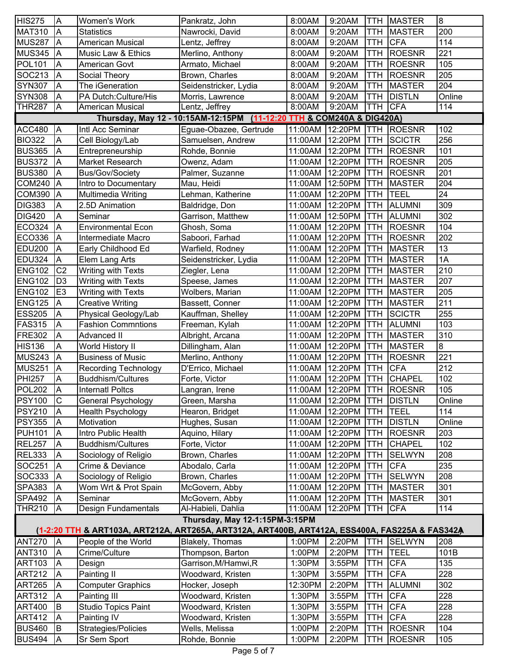| <b>HIS275</b> | A                       | Women's Work                | Pankratz, John                                                                                 | 8:00AM          | 9:20AM                     | <b>TTH</b>  | <b>MASTER</b> | $\overline{8}$ |
|---------------|-------------------------|-----------------------------|------------------------------------------------------------------------------------------------|-----------------|----------------------------|-------------|---------------|----------------|
| <b>MAT310</b> | A                       | <b>Statistics</b>           | Nawrocki, David                                                                                | 8:00AM          | 9:20AM                     | <b>TTH</b>  | <b>MASTER</b> | 200            |
| <b>MUS287</b> | A                       | <b>American Musical</b>     | Lentz, Jeffrey                                                                                 | 8:00AM          | 9:20AM                     | <b>TTH</b>  | <b>CFA</b>    | 114            |
| <b>MUS345</b> | A                       | Music Law & Ethics          | Merlino, Anthony                                                                               | 8:00AM          | 9:20AM                     | <b>TTH</b>  | <b>ROESNR</b> | 221            |
| <b>POL101</b> | A                       | <b>American Govt</b>        | Armato, Michael                                                                                | 8:00AM          | 9:20AM                     | <b>TTH</b>  | <b>ROESNR</b> | 105            |
| SOC213        | A                       | Social Theory               | Brown, Charles                                                                                 | 8:00AM          | 9:20AM                     | <b>TTH</b>  | <b>ROESNR</b> | 205            |
| <b>SYN307</b> | A                       | The iGeneration             | Seidenstricker, Lydia                                                                          | 8:00AM          | 9:20AM                     | <b>TTH</b>  | <b>MASTER</b> | 204            |
| <b>SYN308</b> | A                       | PA Dutch: Culture/His       | Morris, Lawrence                                                                               | 8:00AM          | 9:20AM                     | <b>TTH</b>  | <b>DISTLN</b> | Online         |
| <b>THR287</b> | A                       | American Musical            | Lentz, Jeffrey                                                                                 | 8:00AM          | 9:20AM                     | <b>TTH</b>  | <b>CFA</b>    | 114            |
|               |                         |                             | Thursday, May 12 - 10:15AM-12:15PM (11-12:20 TTH & COM240A & DIG420A)                          |                 |                            |             |               |                |
| <b>ACC480</b> | $\overline{\mathsf{A}}$ | Intl Acc Seminar            | Eguae-Obazee, Gertrude                                                                         | 11:00AM 12:20PM |                            | <b>TTH</b>  | <b>ROESNR</b> | 102            |
| <b>BIO322</b> | A                       | Cell Biology/Lab            | Samuelsen, Andrew                                                                              | 11:00AM         | 12:20PM                    | <b>TTH</b>  | <b>SCICTR</b> | 256            |
| <b>BUS365</b> | A                       | Entrepreneurship            | Rohde, Bonnie                                                                                  | 11:00AM         | 12:20PM                    | <b>TTH</b>  | <b>ROESNR</b> | 101            |
| <b>BUS372</b> | A                       | Market Research             | Owenz, Adam                                                                                    | 11:00AM         | 12:20PM                    | <b>TTH</b>  | <b>ROESNR</b> | 205            |
| <b>BUS380</b> | A                       | <b>Bus/Gov/Society</b>      | Palmer, Suzanne                                                                                | 11:00AM         | 12:20PM                    | <b>TTH</b>  | <b>ROESNR</b> | 201            |
| <b>COM240</b> | A                       | Intro to Documentary        | Mau, Heidi                                                                                     | 11:00AM         | 12:50PM                    | <b>TTH</b>  | <b>MASTER</b> | 204            |
| <b>COM390</b> | $\overline{A}$          | Multimedia Writing          | Lehman, Katherine                                                                              | 11:00AM         | 12:20PM                    | <b>TTH</b>  | TEEL          | 24             |
| <b>DIG383</b> | A                       | 2.5D Animation              | Baldridge, Don                                                                                 | 11:00AM         | 12:20PM                    | <b>TTH</b>  | <b>ALUMNI</b> | 309            |
| <b>DIG420</b> | A                       | Seminar                     | Garrison, Matthew                                                                              | 11:00AM         | 12:50PM                    | <b>TTH</b>  | <b>ALUMNI</b> | 302            |
| <b>ECO324</b> | $\overline{A}$          | <b>Environmental Econ</b>   | Ghosh, Soma                                                                                    | 11:00AM         | 12:20PM                    | <b>TTH</b>  | <b>ROESNR</b> | 104            |
| ECO336        | A                       | Intermediate Macro          | Saboori, Farhad                                                                                | 11:00AM         | 12:20PM                    | <b>TTH</b>  | <b>ROESNR</b> | 202            |
| <b>EDU200</b> | A                       | Early Childhood Ed          | Warfield, Rodney                                                                               | 11:00AM         | 12:20PM                    | <b>TTH</b>  | <b>MASTER</b> | 13             |
| <b>EDU324</b> | A                       | Elem Lang Arts              | Seidenstricker, Lydia                                                                          | 11:00AM         | 12:20PM                    | <b>TTH</b>  | <b>MASTER</b> | 1A             |
| <b>ENG102</b> | C <sub>2</sub>          | Writing with Texts          | Ziegler, Lena                                                                                  | 11:00AM         | 12:20PM                    | <b>TTH</b>  | <b>MASTER</b> | 210            |
| <b>ENG102</b> | D <sub>3</sub>          | Writing with Texts          | Speese, James                                                                                  | 11:00AM         | 12:20PM                    | TTH         | <b>MASTER</b> | 207            |
| <b>ENG102</b> | E <sub>3</sub>          | Writing with Texts          | Wolbers, Marian                                                                                | 11:00AM         | 12:20PM                    | <b>TTH</b>  | <b>MASTER</b> | 205            |
| <b>ENG125</b> | A                       | <b>Creative Writing</b>     | Bassett, Conner                                                                                | 11:00AM         | 12:20PM                    | <b>TTH</b>  | <b>MASTER</b> | 211            |
| <b>ESS205</b> | Α                       | Physical Geology/Lab        | Kauffman, Shelley                                                                              | 11:00AM         | 12:20PM                    | TTH         | <b>SCICTR</b> | 255            |
| <b>FAS315</b> | A                       | <b>Fashion Commntions</b>   | Freeman, Kylah                                                                                 | 11:00AM         | 12:20PM                    | <b>TTH</b>  | ALUMNI        | 103            |
| <b>FRE302</b> | A                       | <b>Advanced II</b>          | Albright, Arcana                                                                               | 11:00AM         | 12:20PM                    | <b>TTH</b>  | <b>MASTER</b> | 310            |
| <b>HIS136</b> | A                       | <b>World History II</b>     | Dillingham, Alan                                                                               | 11:00AM         | 12:20PM                    | <b>TTH</b>  | <b>MASTER</b> | $\overline{8}$ |
| <b>MUS243</b> | A                       | <b>Business of Music</b>    | Merlino, Anthony                                                                               | 11:00AM         | 12:20PM                    | <b>TTH</b>  | <b>ROESNR</b> | 221            |
| <b>MUS251</b> | A                       | <b>Recording Technology</b> | D'Errico, Michael                                                                              | 11:00AM         | 12:20PM                    | <b>TTH</b>  | <b>CFA</b>    | 212            |
| <b>PHI257</b> | Α                       | <b>Buddhism/Cultures</b>    | Forte, Victor                                                                                  | 11:00AM         | 12:20PM                    | <b>TTH</b>  | <b>CHAPEL</b> | 102            |
| <b>POL202</b> | ΙA                      | <b>Internatl Poltcs</b>     | Langran, Irene                                                                                 |                 | 11:00AM 12:20PM TTH ROESNR |             |               | 105            |
| <b>PSY100</b> | $\mathsf C$             | General Psychology          | Green, Marsha                                                                                  | 11:00AM         | 12:20PM                    | <b>ITTH</b> | <b>DISTLN</b> | Online         |
| <b>PSY210</b> | A                       | <b>Health Psychology</b>    | Hearon, Bridget                                                                                | 11:00AM         | 12:20PM                    | <b>TTH</b>  | <b>TEEL</b>   | 114            |
| <b>PSY355</b> | A                       | Motivation                  | Hughes, Susan                                                                                  | 11:00AM         | 12:20PM                    | <b>TTH</b>  | <b>DISTLN</b> | Online         |
| <b>PUH101</b> | A                       | Intro Public Health         | Aquino, Hilary                                                                                 | 11:00AM         | 12:20PM                    | <b>TTH</b>  | <b>ROESNR</b> | 203            |
| <b>REL257</b> | A                       | <b>Buddhism/Cultures</b>    | Forte, Victor                                                                                  | 11:00AM         | 12:20PM                    | TTH         | <b>CHAPEL</b> | 102            |
| <b>REL333</b> | A                       | Sociology of Religio        | Brown, Charles                                                                                 | 11:00AM         | 12:20PM                    | <b>TTH</b>  | <b>SELWYN</b> | 208            |
| SOC251        | A                       | Crime & Deviance            | Abodalo, Carla                                                                                 | 11:00AM         | 12:20PM                    | TTH         | <b>CFA</b>    | 235            |
| SOC333        | A                       | Sociology of Religio        | Brown, Charles                                                                                 | 11:00AM         | 12:20PM                    | <b>TTH</b>  | <b>SELWYN</b> | 208            |
| <b>SPA383</b> | A                       | Wom Wrt & Prot Spain        | McGovern, Abby                                                                                 | 11:00AM         | 12:20PM                    | <b>TTH</b>  | <b>MASTER</b> | 301            |
| <b>SPA492</b> | Α                       | Seminar                     | McGovern, Abby                                                                                 | 11:00AM         | 12:20PM                    | <b>TTH</b>  | <b>MASTER</b> | 301            |
| <b>THR210</b> | A                       | Design Fundamentals         | Al-Habieli, Dahlia                                                                             | 11:00AM         | 12:20PM                    | TTH         | <b>CFA</b>    | 114            |
|               |                         |                             | Thursday, May 12-1:15PM-3:15PM                                                                 |                 |                            |             |               |                |
|               |                         |                             | (1-2:20 TTH & ART103A, ART212A, ART265A, ART312A, ART400B, ART412A, ESS400A, FAS225A & FAS342A |                 |                            |             |               |                |
| <b>ANT270</b> | $\overline{A}$          | People of the World         | Blakely, Thomas                                                                                | 1:00PM          | 2:20PM                     | <b>TTH</b>  | <b>SELWYN</b> | 208            |
| <b>ANT310</b> | A                       | Crime/Culture               | Thompson, Barton                                                                               | 1:00PM          | 2:20PM                     | <b>TTH</b>  | <b>TEEL</b>   | 101B           |
| <b>ART103</b> | A                       | Design                      | Garrison, M/Hamwi, R                                                                           | 1:30PM          | 3:55PM                     | <b>TTH</b>  | <b>CFA</b>    | 135            |
| <b>ART212</b> | A                       | Painting II                 | Woodward, Kristen                                                                              | 1:30PM          | 3:55PM                     | <b>TTH</b>  | <b>CFA</b>    | 228            |
| <b>ART265</b> | A                       | <b>Computer Graphics</b>    | Hocker, Joseph                                                                                 | 12:30PM         | 2:20PM                     | TTH         | <b>ALUMNI</b> | 302            |
| <b>ART312</b> | A                       | Painting III                | Woodward, Kristen                                                                              | 1:30PM          | 3:55PM                     | TTH         | <b>CFA</b>    | 228            |
| <b>ART400</b> | B                       | <b>Studio Topics Paint</b>  | Woodward, Kristen                                                                              | 1:30PM          | 3:55PM                     | <b>TTH</b>  | <b>CFA</b>    | 228            |
| <b>ART412</b> | A                       | Painting IV                 | Woodward, Kristen                                                                              | 1:30PM          | 3:55PM                     | TTH         | <b>CFA</b>    | 228            |
| <b>BUS460</b> | B                       | Strategies/Policies         | Wells, Melissa                                                                                 | 1:00PM          | 2:20PM                     | TTH         | <b>ROESNR</b> | 104            |
| <b>BUS494</b> | A                       | Sr Sem Sport                | Rohde, Bonnie                                                                                  | 1:00PM          | 2:20PM                     | TTH         | <b>ROESNR</b> | 105            |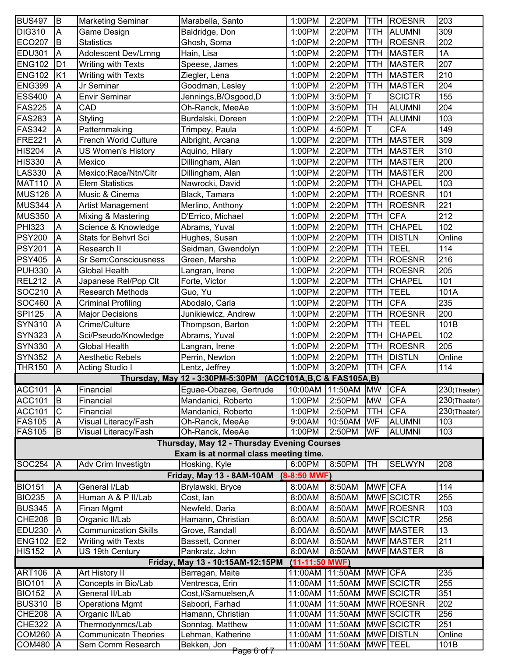| <b>BUS497</b> | B                       | <b>Marketing Seminar</b>    | Marabella, Santo                                              | 1:00PM           | 2:20PM             | TTH            | <b>ROESNR</b>   | 203          |
|---------------|-------------------------|-----------------------------|---------------------------------------------------------------|------------------|--------------------|----------------|-----------------|--------------|
| <b>DIG310</b> | $\overline{\mathsf{A}}$ | Game Design                 | Baldridge, Don                                                | 1:00PM           | 2:20PM             | <b>TTH</b>     | <b>ALUMNI</b>   | 309          |
| <b>ECO207</b> | B                       | <b>Statistics</b>           | Ghosh, Soma                                                   | 1:00PM           | 2:20PM             | <b>TTH</b>     | <b>ROESNR</b>   | 202          |
| <b>EDU301</b> | A                       | <b>Adolescent Dev/Lrnng</b> | Hain, Lisa                                                    | 1:00PM           | 2:20PM             | <b>TTH</b>     | <b>MASTER</b>   | 1A           |
| <b>ENG102</b> | D <sub>1</sub>          | Writing with Texts          | Speese, James                                                 | 1:00PM           | 2:20PM             | TTH            | <b>MASTER</b>   | 207          |
| <b>ENG102</b> | K <sub>1</sub>          | Writing with Texts          | Ziegler, Lena                                                 | 1:00PM           | 2:20PM             | <b>TTH</b>     | <b>MASTER</b>   | 210          |
| <b>ENG399</b> | A                       | Jr Seminar                  | Goodman, Lesley                                               | 1:00PM           | 2:20PM             | <b>TTH</b>     | <b>MASTER</b>   | 204          |
|               |                         | <b>Envir Seminar</b>        |                                                               |                  |                    | T              | <b>SCICTR</b>   | 155          |
| <b>ESS400</b> | A                       |                             | Jennings, B/Osgood, D                                         | 1:00PM           | 3:50PM             |                |                 |              |
| <b>FAS225</b> | Α                       | CAD                         | Oh-Ranck, MeeAe                                               | 1:00PM           | 3:50PM             | <b>TH</b>      | <b>ALUMNI</b>   | 204          |
| <b>FAS283</b> | Α                       | Styling                     | Burdalski, Doreen                                             | 1:00PM           | 2:20PM             | <b>TTH</b>     | <b>ALUMNI</b>   | 103          |
| <b>FAS342</b> | A                       | Patternmaking               | Trimpey, Paula                                                | 1:00PM           | 4:50PM             | Τ              | <b>CFA</b>      | 149          |
| <b>FRE221</b> | A                       | French World Culture        | Albright, Arcana                                              | 1:00PM           | 2:20PM             | <b>TTH</b>     | <b>MASTER</b>   | 309          |
| <b>HIS204</b> | A                       | <b>US Women's History</b>   | Aquino, Hilary                                                | 1:00PM           | 2:20PM             | <b>TTH</b>     | <b>MASTER</b>   | 310          |
| <b>HIS330</b> | A                       | Mexico                      | Dillingham, Alan                                              | 1:00PM           | 2:20PM             | <b>TTH</b>     | <b>MASTER</b>   | 200          |
| <b>LAS330</b> | Α                       | Mexico:Race/Ntn/Cltr        | Dillingham, Alan                                              | 1:00PM           | 2:20PM             | <b>TTH</b>     | <b>MASTER</b>   | 200          |
| <b>MAT110</b> | A                       | <b>Elem Statistics</b>      | Nawrocki, David                                               | 1:00PM           | 2:20PM             | TTH            | <b>CHAPEL</b>   | 103          |
| <b>MUS126</b> | A                       | Music & Cinema              | Black, Tamara                                                 | 1:00PM           | 2:20PM             | <b>TTH</b>     | <b>ROESNR</b>   | 101          |
| <b>MUS344</b> | A                       | <b>Artist Management</b>    | Merlino, Anthony                                              | 1:00PM           | 2:20PM             | <b>TTH</b>     | <b>ROESNR</b>   | 221          |
| <b>MUS350</b> | A                       | Mixing & Mastering          | D'Errico, Michael                                             | 1:00PM           | 2:20PM             | <b>TTH</b>     | <b>CFA</b>      | 212          |
| <b>PHI323</b> | Α                       | Science & Knowledge         | Abrams, Yuval                                                 | 1:00PM           | 2:20PM             | <b>TTH</b>     | <b>CHAPEL</b>   | 102          |
| <b>PSY200</b> | A                       | <b>Stats for Behvrl Sci</b> | Hughes, Susan                                                 | 1:00PM           | 2:20PM             | <b>TTH</b>     | <b>DISTLN</b>   | Online       |
| <b>PSY201</b> | A                       | Research II                 | Seidman, Gwendolyn                                            | 1:00PM           | 2:20PM             | <b>TTH</b>     | <b>TEEL</b>     | 114          |
| <b>PSY405</b> | А                       | Sr Sem:Consciousness        | Green, Marsha                                                 | 1:00PM           | 2:20PM             | <b>TTH</b>     | <b>ROESNR</b>   | 216          |
| <b>PUH330</b> | A                       | <b>Global Health</b>        | Langran, Irene                                                | 1:00PM           | 2:20PM             | <b>TTH</b>     | <b>ROESNR</b>   | 205          |
| <b>REL212</b> | A                       | Japanese Rel/Pop Clt        | Forte, Victor                                                 | 1:00PM           | 2:20PM             | <b>TTH</b>     | <b>CHAPEL</b>   | 101          |
| SOC210        | Α                       | <b>Research Methods</b>     | Guo, Yu                                                       | 1:00PM           | 2:20PM             | <b>TTH</b>     | <b>TEEL</b>     | 101A         |
| SOC460        | Α                       | Criminal Profiling          | Abodalo, Carla                                                | 1:00PM           | 2:20PM             | TTH            | <b>CFA</b>      | 235          |
| <b>SPI125</b> | A                       | <b>Major Decisions</b>      | Junikiewicz, Andrew                                           | 1:00PM           | 2:20PM             | <b>TTH</b>     | <b>ROESNR</b>   | 200          |
| <b>SYN310</b> | A                       | Crime/Culture               | Thompson, Barton                                              | 1:00PM           | 2:20PM             | <b>TTH</b>     | <b>TEEL</b>     | 101B         |
| <b>SYN323</b> | A                       | Sci/Pseudo/Knowledge        | Abrams, Yuval                                                 | 1:00PM           | 2:20PM             | <b>TTH</b>     | <b>CHAPEL</b>   | 102          |
| <b>SYN330</b> | A                       | <b>Global Health</b>        | Langran, Irene                                                | 1:00PM           | 2:20PM             | <b>TTH</b>     | <b>ROESNR</b>   | 205          |
| <b>SYN352</b> | A                       | <b>Aesthetic Rebels</b>     | Perrin, Newton                                                | 1:00PM           | 2:20PM             | TTH            | <b>DISTLN</b>   | Online       |
| <b>THR150</b> | A                       | <b>Acting Studio I</b>      | Lentz, Jeffrey                                                | 1:00PM           | 3:20PM             | <b>TTH</b>     | <b>CFA</b>      | 114          |
|               |                         |                             | Thursday, May 12 - 3:30PM-5:30PM (ACC101A, B, C & FAS105A, B) |                  |                    |                |                 |              |
| <b>ACC101</b> | <b>A</b>                | Financial                   | Eguae-Obazee, Gertrude                                        |                  | 10:00AM 11:50AM MW |                | <b>CFA</b>      | 230(Theater) |
| <b>ACC101</b> | B                       | Financial                   | Mandanici, Roberto                                            | 1:00PM           | 2:50PM             | <b>MW</b>      | <b>CFA</b>      | 230(Theater) |
| <b>ACC101</b> | C                       | Financial                   | Mandanici, Roberto                                            | 1:00PM           | 2:50PM             | <b>TTH</b>     | <b>CFA</b>      | 230(Theater) |
| <b>FAS105</b> | A                       | Visual Literacy/Fash        | Oh-Ranck, MeeAe                                               | 9:00AM           | 10:50AM            | WF             | <b>ALUMNI</b>   | 103          |
| <b>FAS105</b> | B                       | Visual Literacy/Fash        | Oh-Ranck, MeeAe                                               | 1:00PM           | 2:50PM             | WF             | <b>ALUMNI</b>   | 103          |
|               |                         |                             | Thursday, May 12 - Thursday Evening Courses                   |                  |                    |                |                 |              |
|               |                         |                             | Exam is at normal class meeting time.                         |                  |                    |                |                 |              |
| <b>SOC254</b> | $\overline{A}$          | Adv Crim Investigtn         | Hosking, Kyle                                                 | 6:00PM           | 8:50PM             | TH             | <b>SELWYN</b>   | 208          |
|               |                         |                             | Friday, May 13 - 8AM-10AM                                     | $(8-8:50$ MWF)   |                    |                |                 |              |
| <b>BIO151</b> | $\overline{\mathsf{A}}$ | General I/Lab               | Brylawski, Bryce                                              | 8:00AM           | 8:50AM             | MWF CFA        |                 | 114          |
| <b>BIO235</b> | A                       | Human A & P II/Lab          | Cost, lan                                                     | 8:00AM           | 8:50AM             |                | MWF SCICTR      | 255          |
| <b>BUS345</b> | A                       | Finan Mgmt                  | Newfeld, Daria                                                | 8:00AM           | 8:50AM             |                | MWF ROESNR      | 103          |
| <b>CHE208</b> | B                       | Organic II/Lab              | Hamann, Christian                                             | 8:00AM           | 8:50AM             |                | MWF SCICTR      | 256          |
| <b>EDU230</b> | A                       | <b>Communication Skills</b> | Grove, Randall                                                | 8:00AM           | 8:50AM             |                | MWF MASTER      | 13           |
| <b>ENG102</b> | E2                      | Writing with Texts          | Bassett, Conner                                               | 8:00AM           | 8:50AM             |                | MWF MASTER      | 211          |
| <b>HIS152</b> | A                       | US 19th Century             | Pankratz, John                                                | 8:00AM           | 8:50AM             |                | MWF MASTER      | 8            |
|               |                         |                             | Friday, May 13 - 10:15AM-12:15PM                              | $(11-11:50$ MWF) |                    |                |                 |              |
| <b>ART106</b> | A                       | <b>Art History II</b>       | Barragan, Maite                                               | 11:00AM          | 11:50AM            | <b>MWF CFA</b> |                 | 235          |
| <b>BIO101</b> | $\overline{\mathsf{A}}$ | Concepts in Bio/Lab         | Ventresca, Erin                                               | 11:00AM          | 11:50AM            |                | MWF SCICTR      | 255          |
| <b>BIO152</b> | A                       | General II/Lab              | Cost, I/Samuelsen, A                                          | 11:00AM          | 11:50AM            |                | MWF SCICTR      | 351          |
| <b>BUS310</b> | B                       | <b>Operations Mgmt</b>      | Saboori, Farhad                                               | 11:00AM          | 11:50AM            |                | MWF ROESNR      | 202          |
| <b>CHE208</b> | A                       | Organic II/Lab              | Hamann, Christian                                             | 11:00AM          | 11:50AM            |                | MWF SCICTR      | 256          |
| <b>CHE322</b> | A                       | Thermodynmcs/Lab            | Sonntag, Matthew                                              | 11:00AM          | 11:50AM            |                | MWF SCICTR      | 251          |
| <b>COM260</b> | A                       | <b>Communicatn Theories</b> | Lehman, Katherine                                             | 11:00AM          | 11:50AM            |                | MWF DISTLN      | Online       |
| <b>COM480</b> | A                       | Sem Comm Research           | Bekken, Jon<br>Page 6 of 7                                    | 11:00AM          | 11:50AM            |                | <b>MWF</b> TEEL | 101B         |
|               |                         |                             |                                                               |                  |                    |                |                 |              |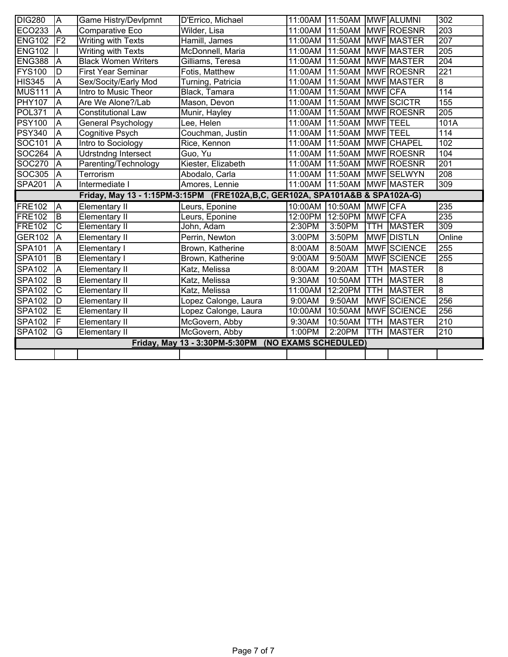| <b>DIG280</b> | $\overline{\mathsf{A}}$  | Game Histry/Devlpmnt       | D'Errico, Michael                                                            | 11:00AM | 11:50AM         |                 | <b>MWF</b> ALUMNI  | $\overline{302}$ |
|---------------|--------------------------|----------------------------|------------------------------------------------------------------------------|---------|-----------------|-----------------|--------------------|------------------|
| <b>ECO233</b> | A                        | Comparative Eco            | Wilder, Lisa                                                                 | 11:00AM | 11:50AM         |                 | MWF ROESNR         | 203              |
| <b>ENG102</b> | $\overline{\mathsf{F2}}$ | <b>Writing with Texts</b>  | Hamill, James                                                                | 11:00AM | 11:50AM         |                 | <b>MWF MASTER</b>  | 207              |
| <b>ENG102</b> |                          | <b>Writing with Texts</b>  | McDonnell, Maria                                                             | 11:00AM | 11:50AM         |                 | <b>MWF MASTER</b>  | 205              |
| <b>ENG388</b> | A                        | <b>Black Women Writers</b> | Gilliams, Teresa                                                             | 11:00AM | 11:50AM         |                 | <b>MWF MASTER</b>  | 204              |
| <b>FYS100</b> | D                        | <b>First Year Seminar</b>  | Fotis, Matthew                                                               | 11:00AM | 11:50AM         |                 | <b>MWF</b> ROESNR  | $\overline{221}$ |
| <b>HIS345</b> | A                        | Sex/Socity/Early Mod       | Turning, Patricia                                                            | 11:00AM | 11:50AM         |                 | <b>MWF MASTER</b>  | 8                |
| <b>MUS111</b> | $\overline{A}$           | Intro to Music Theor       | Black, Tamara                                                                | 11:00AM | 11:50AM         | <b>MWF</b> CFA  |                    | 114              |
| <b>PHY107</b> | $\overline{A}$           | Are We Alone?/Lab          | Mason, Devon                                                                 | 11:00AM | 11:50AM         |                 | MWF SCICTR         | 155              |
| <b>POL371</b> | A                        | <b>Constitutional Law</b>  | Munir, Hayley                                                                | 11:00AM | 11:50AM         |                 | MWF ROESNR         | $\overline{205}$ |
| <b>PSY100</b> | $\overline{\mathsf{A}}$  | <b>General Psychology</b>  | Lee, Helen                                                                   | 11:00AM | 11:50AM         | <b>MWF TEEL</b> |                    | 101A             |
| <b>PSY340</b> | A                        | Cognitive Psych            | Couchman, Justin                                                             | 11:00AM | 11:50AM         | <b>MWF TEEL</b> |                    | 114              |
| SOC101        | $\overline{\mathsf{A}}$  | Intro to Sociology         | Rice, Kennon                                                                 | 11:00AM | 11:50AM         |                 | <b>MWF</b> CHAPEL  | 102              |
| SOC264        | $\overline{A}$           | <b>Udrstndng Intersect</b> | Guo, Yu                                                                      | 11:00AM | 11:50AM         |                 | MWF ROESNR         | 104              |
| <b>SOC270</b> | $\overline{\mathsf{A}}$  | Parenting/Technology       | Kiester, Elizabeth                                                           | 11:00AM | 11:50AM         |                 | <b>MWF ROESNR</b>  | 201              |
| <b>SOC305</b> | A                        | Terrorism                  | Abodalo, Carla                                                               | 11:00AM | 11:50AM         |                 | MWF SELWYN         | 208              |
| <b>SPA201</b> | $\overline{\mathsf{A}}$  | Intermediate I             | Amores, Lennie                                                               |         | 11:00AM 11:50AM |                 | <b>MWF MASTER</b>  | 309              |
|               |                          |                            | Friday, May 13 - 1:15PM-3:15PM (FRE102A,B,C, GER102A, SPA101A&B & SPA102A-G) |         |                 |                 |                    |                  |
| <b>FRE102</b> | $\overline{\mathsf{A}}$  | Elementary II              | Leurs, Eponine                                                               | 10:00AM | 10:50AM         | <b>MWF</b> CFA  |                    | 235              |
| <b>FRE102</b> | ΙB                       | Elementary II              | Leurs, Eponine                                                               | 12:00PM | 12:50PM         | <b>MWF</b> CFA  |                    | 235              |
| <b>FRE102</b> | $\overline{\text{c}}$    | <b>Elementary II</b>       | John, Adam                                                                   | 2:30PM  | 3:50PM          | <b>TTH</b>      | <b>MASTER</b>      | 309              |
| <b>GER102</b> | A                        | <b>Elementary II</b>       | Perrin, Newton                                                               | 3:00PM  | 3:50PM          |                 | <b>MWFOISTLN</b>   | Online           |
| <b>SPA101</b> | A                        | Elementary I               | Brown, Katherine                                                             | 8:00AM  | 8:50AM          |                 | MWF SCIENCE        | 255              |
| <b>SPA101</b> | $\overline{B}$           | Elementary I               | Brown, Katherine                                                             | 9:00AM  | 9:50AM          |                 | <b>MWF</b> SCIENCE | 255              |
| <b>SPA102</b> | A                        | <b>Elementary II</b>       | Katz, Melissa                                                                | 8:00AM  | 9:20AM          | <b>TTH</b>      | <b>MASTER</b>      | $\overline{8}$   |
| <b>SPA102</b> | B                        | <b>Elementary II</b>       | Katz, Melissa                                                                | 9:30AM  | 10:50AM         | TTH             | <b>MASTER</b>      | $\overline{8}$   |
| <b>SPA102</b> | C                        | Elementary II              | Katz, Melissa                                                                | 11:00AM | 12:20PM         | <b>TTH</b>      | <b>MASTER</b>      | $\overline{8}$   |
| <b>SPA102</b> | D                        | <b>Elementary II</b>       | Lopez Calonge, Laura                                                         | 9:00AM  | 9:50AM          |                 | <b>MWF</b> SCIENCE | 256              |
| <b>SPA102</b> | E                        | <b>Elementary II</b>       | Lopez Calonge, Laura                                                         | 10:00AM | 10:50AM         |                 | MWF SCIENCE        | 256              |
| <b>SPA102</b> | F                        | <b>Elementary II</b>       | McGovern, Abby                                                               | 9:30AM  | 10:50AM         | TTH             | <b>MASTER</b>      | 210              |
| <b>SPA102</b> | G                        | <b>Elementary II</b>       | McGovern, Abby                                                               | 1:00PM  | 2:20PM          | <b>TTH</b>      | <b>MASTER</b>      | 210              |
|               |                          |                            | Friday, May 13 - 3:30PM-5:30PM (NO EXAMS SCHEDULED)                          |         |                 |                 |                    |                  |
|               |                          |                            |                                                                              |         |                 |                 |                    |                  |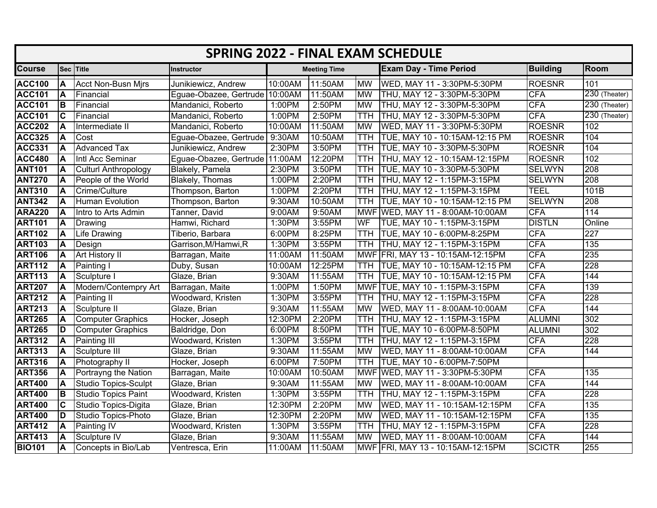|               | <b>SPRING 2022 - FINAL EXAM SCHEDULE</b> |                             |                                |         |                     |            |                                   |                 |               |  |  |  |  |
|---------------|------------------------------------------|-----------------------------|--------------------------------|---------|---------------------|------------|-----------------------------------|-----------------|---------------|--|--|--|--|
| <b>Course</b> |                                          | Sec Title                   | Instructor                     |         | <b>Meeting Time</b> |            | <b>Exam Day - Time Period</b>     | <b>Building</b> | Room          |  |  |  |  |
| <b>ACC100</b> | A                                        | <b>Acct Non-Busn Mirs</b>   | Junikiewicz, Andrew            | 10:00AM | 11:50AM             | <b>MW</b>  | WED, MAY 11 - 3:30PM-5:30PM       | <b>ROESNR</b>   | 101           |  |  |  |  |
| <b>ACC101</b> | ΙA                                       | Financial                   | Eguae-Obazee, Gertrude 10:00AM |         | 11:50AM             | <b>MW</b>  | THU, MAY 12 - 3:30PM-5:30PM       | <b>CFA</b>      | 230 (Theater) |  |  |  |  |
| <b>ACC101</b> | lΒ                                       | Financial                   | Mandanici, Roberto             | 1:00PM  | 2:50PM              | <b>MW</b>  | THU, MAY 12 - 3:30PM-5:30PM       | <b>CFA</b>      | 230 (Theater) |  |  |  |  |
| <b>ACC101</b> | C                                        | Financial                   | Mandanici, Roberto             | 1:00PM  | 2:50PM              | <b>TTH</b> | THU, MAY 12 - 3:30PM-5:30PM       | <b>CFA</b>      | 230 (Theater) |  |  |  |  |
| <b>ACC202</b> |                                          | Intermediate II             | Mandanici, Roberto             | 10:00AM | 11:50AM             | <b>MW</b>  | WED, MAY 11 - 3:30PM-5:30PM       | <b>ROESNR</b>   | 102           |  |  |  |  |
| <b>ACC325</b> | A                                        | Cost                        | Eguae-Obazee, Gertrude 9:30AM  |         | 10:50AM             | TTH        | TUE, MAY 10 - 10:15AM-12:15 PM    | <b>ROESNR</b>   | 104           |  |  |  |  |
| <b>ACC331</b> | A                                        | <b>Advanced Tax</b>         | Junikiewicz, Andrew            | 2:30PM  | 3:50PM              | <b>TTH</b> | TUE, MAY 10 - 3:30PM-5:30PM       | <b>ROESNR</b>   | 104           |  |  |  |  |
| <b>ACC480</b> | A                                        | Intl Acc Seminar            | Eguae-Obazee, Gertrude 11:00AM |         | 12:20PM             | <b>TTH</b> | THU, MAY 12 - 10:15AM-12:15PM     | <b>ROESNR</b>   | 102           |  |  |  |  |
| <b>ANT101</b> | ΙA                                       | <b>Culturl Anthropology</b> | Blakely, Pamela                | 2:30PM  | 3:50PM              | <b>TTH</b> | TUE, MAY 10 - 3:30PM-5:30PM       | <b>SELWYN</b>   | 208           |  |  |  |  |
| <b>ANT270</b> | ΙA                                       | People of the World         | <b>Blakely, Thomas</b>         | 1:00PM  | 2:20PM              | <b>TTH</b> | THU, MAY 12 - 1:15PM-3:15PM       | <b>SELWYN</b>   | 208           |  |  |  |  |
| <b>ANT310</b> | ΙA                                       | Crime/Culture               | Thompson, Barton               | 1:00PM  | 2:20PM              | <b>TTH</b> | THU, MAY 12 - 1:15PM-3:15PM       | <b>TEEL</b>     | 101B          |  |  |  |  |
| <b>ANT342</b> | ΙA                                       | Human Evolution             | Thompson, Barton               | 9:30AM  | 10:50AM             | <b>TTH</b> | TUE, MAY 10 - 10:15AM-12:15 PM    | <b>SELWYN</b>   | 208           |  |  |  |  |
| <b>ARA220</b> | ΙA                                       | Intro to Arts Admin         | Tanner, David                  | 9:00AM  | 9:50AM              |            | MWF WED, MAY 11 - 8:00AM-10:00AM  | <b>CFA</b>      | 114           |  |  |  |  |
| <b>ART101</b> | ΙA                                       | Drawing                     | Hamwi, Richard                 | 1:30PM  | 3:55PM              | WF         | TUE, MAY 10 - 1:15PM-3:15PM       | <b>DISTLN</b>   | Online        |  |  |  |  |
| <b>ART102</b> | ΙA                                       | Life Drawing                | Tiberio, Barbara               | 6:00PM  | 8:25PM              | <b>TTH</b> | TUE, MAY 10 - 6:00PM-8:25PM       | <b>CFA</b>      | 227           |  |  |  |  |
| <b>ART103</b> | ΙA                                       | Design                      | Garrison, M/Hamwi, R           | 1:30PM  | 3:55PM              | <b>TTH</b> | THU, MAY 12 - 1:15PM-3:15PM       | <b>CFA</b>      | 135           |  |  |  |  |
| <b>ART106</b> | ΙA                                       | Art History II              | Barragan, Maite                | 11:00AM | 11:50AM             |            | MWF FRI, MAY 13 - 10:15AM-12:15PM | <b>CFA</b>      | 235           |  |  |  |  |
| <b>ART112</b> | ΙA                                       | Painting I                  | Duby, Susan                    | 10:00AM | 12:25PM             | <b>TTH</b> | TUE, MAY 10 - 10:15AM-12:15 PM    | <b>CFA</b>      | 228           |  |  |  |  |
| <b>ART113</b> | ΙA                                       | Sculpture I                 | Glaze, Brian                   | 9:30AM  | 11:55AM             | <b>TTH</b> | TUE, MAY 10 - 10:15AM-12:15 PM    | <b>CFA</b>      | 144           |  |  |  |  |
| <b>ART207</b> | ΙA                                       | Modern/Contempry Art        | Barragan, Maite                | 1:00PM  | 1:50PM              |            | MWF TUE, MAY 10 - 1:15PM-3:15PM   | <b>CFA</b>      | 139           |  |  |  |  |
| <b>ART212</b> | A                                        | Painting II                 | Woodward, Kristen              | 1:30PM  | 3:55PM              | <b>TTH</b> | THU, MAY 12 - 1:15PM-3:15PM       | <b>CFA</b>      | 228           |  |  |  |  |
| <b>ART213</b> | ΙA                                       | Sculpture II                | Glaze, Brian                   | 9:30AM  | 11:55AM             | <b>MW</b>  | WED, MAY 11 - 8:00AM-10:00AM      | <b>CFA</b>      | 144           |  |  |  |  |
| <b>ART265</b> | A                                        | <b>Computer Graphics</b>    | Hocker, Joseph                 | 12:30PM | 2:20PM              | <b>TTH</b> | THU, MAY 12 - 1:15PM-3:15PM       | <b>ALUMNI</b>   | 302           |  |  |  |  |
| <b>ART265</b> | D                                        | <b>Computer Graphics</b>    | Baldridge, Don                 | 6:00PM  | 8:50PM              | <b>TTH</b> | TUE, MAY 10 - 6:00PM-8:50PM       | <b>ALUMNI</b>   | 302           |  |  |  |  |
| <b>ART312</b> | A                                        | Painting III                | Woodward, Kristen              | 1:30PM  | 3:55PM              | TTH        | THU, MAY 12 - 1:15PM-3:15PM       | <b>CFA</b>      | 228           |  |  |  |  |
| <b>ART313</b> | A                                        | Sculpture III               | Glaze, Brian                   | 9:30AM  | 11:55AM             | <b>MW</b>  | WED, MAY 11 - 8:00AM-10:00AM      | <b>CFA</b>      | 144           |  |  |  |  |
| <b>ART316</b> | ΙA                                       | Photography II              | Hocker, Joseph                 | 6:00PM  | 7:50PM              | <b>TTH</b> | TUE, MAY 10 - 6:00PM-7:50PM       |                 |               |  |  |  |  |
| <b>ART356</b> |                                          | Portrayng the Nation        | Barragan, Maite                | 10:00AM | 10:50AM             |            | MWF WED, MAY 11 - 3:30PM-5:30PM   | <b>CFA</b>      | 135           |  |  |  |  |
| <b>ART400</b> | ΙA                                       | Studio Topics-Sculpt        | Glaze, Brian                   | 9:30AM  | 11:55AM             | <b>MW</b>  | WED, MAY 11 - 8:00AM-10:00AM      | <b>CFA</b>      | 144           |  |  |  |  |
| <b>ART400</b> | lв                                       | Studio Topics Paint         | Woodward, Kristen              | 1:30PM  | 3:55PM              | <b>TTH</b> | THU, MAY 12 - 1:15PM-3:15PM       | <b>CFA</b>      | 228           |  |  |  |  |
| <b>ART400</b> | ІС                                       | Studio Topics-Digita        | Glaze, Brian                   | 12:30PM | 2:20PM              | <b>MW</b>  | WED, MAY 11 - 10:15AM-12:15PM     | <b>CFA</b>      | 135           |  |  |  |  |
| <b>ART400</b> | ID                                       | Studio Topics-Photo         | Glaze, Brian                   | 12:30PM | 2:20PM              | <b>MW</b>  | WED, MAY 11 - 10:15AM-12:15PM     | <b>CFA</b>      | 135           |  |  |  |  |
| <b>ART412</b> | ΙA                                       | Painting IV                 | Woodward, Kristen              | 1:30PM  | 3:55PM              | <b>TTH</b> | THU, MAY 12 - 1:15PM-3:15PM       | <b>CFA</b>      | 228           |  |  |  |  |
| <b>ART413</b> | A                                        | Sculpture IV                | Glaze, Brian                   | 9:30AM  | 11:55AM             | <b>MW</b>  | WED, MAY 11 - 8:00AM-10:00AM      | <b>CFA</b>      | 144           |  |  |  |  |
| <b>BIO101</b> | A                                        | Concepts in Bio/Lab         | Ventresca, Erin                | 11:00AM | 11:50AM             |            | MWF FRI, MAY 13 - 10:15AM-12:15PM | <b>SCICTR</b>   | 255           |  |  |  |  |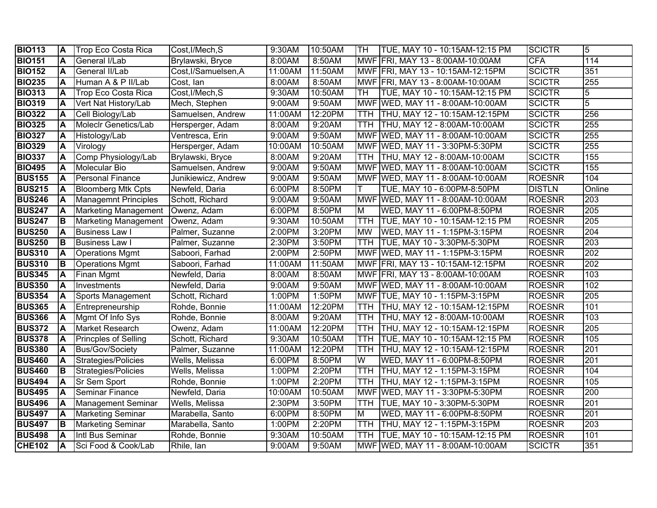| <b>BIO113</b> | ΙA  | <b>Trop Eco Costa Rica</b>  | Cost, I/Mech, S      | 9:30AM  | 10:50AM | TH         | TUE, MAY 10 - 10:15AM-12:15 PM     | <b>SCICTR</b> | 5                |
|---------------|-----|-----------------------------|----------------------|---------|---------|------------|------------------------------------|---------------|------------------|
| <b>BIO151</b> | A   | General I/Lab               | Brylawski, Bryce     | 8:00AM  | 8:50AM  |            | MWF FRI, MAY 13 - 8:00AM-10:00AM   | <b>CFA</b>    | 114              |
| <b>BIO152</b> | A   | General II/Lab              | Cost, I/Samuelsen, A | 11:00AM | 11:50AM |            | MWF FRI, MAY 13 - 10:15AM-12:15PM  | <b>SCICTR</b> | 351              |
| <b>BIO235</b> | A   | Human A & P II/Lab          | Cost, lan            | 8:00AM  | 8:50AM  |            | MWF FRI, MAY 13 - 8:00AM-10:00AM   | <b>SCICTR</b> | 255              |
| <b>BIO313</b> | A   | <b>Trop Eco Costa Rica</b>  | Cost, I/Mech, S      | 9:30AM  | 10:50AM | TH         | TUE, MAY 10 - 10:15AM-12:15 PM     | <b>SCICTR</b> | 5                |
| <b>BIO319</b> | A   | Vert Nat History/Lab        | Mech, Stephen        | 9:00AM  | 9:50AM  |            | MWF WED, MAY 11 - 8:00AM-10:00AM   | <b>SCICTR</b> | 5                |
| <b>BIO322</b> | A   | Cell Biology/Lab            | Samuelsen, Andrew    | 11:00AM | 12:20PM |            | TTH THU, MAY 12 - 10:15AM-12:15PM  | <b>SCICTR</b> | 256              |
| <b>BIO325</b> | A   | Moleclr Genetics/Lab        | Hersperger, Adam     | 8:00AM  | 9:20AM  |            | TTH THU, MAY 12 - 8:00AM-10:00AM   | <b>SCICTR</b> | 255              |
| <b>BIO327</b> | A   | Histology/Lab               | Ventresca, Erin      | 9:00AM  | 9:50AM  |            | MWF WED, MAY 11 - 8:00AM-10:00AM   | <b>SCICTR</b> | 255              |
| <b>BIO329</b> | A   | Virology                    | Hersperger, Adam     | 10:00AM | 10:50AM |            | MWF WED, MAY 11 - 3:30PM-5:30PM    | <b>SCICTR</b> | 255              |
| <b>BIO337</b> | A   | Comp Physiology/Lab         | Brylawski, Bryce     | 8:00AM  | 9:20AM  |            | TTH  THU, MAY 12 - 8:00AM-10:00AM  | <b>SCICTR</b> | 155              |
| <b>BIO495</b> | A   | Molecular Bio               | Samuelsen, Andrew    | 9:00AM  | 9:50AM  |            | MWF WED, MAY 11 - 8:00AM-10:00AM   | <b>SCICTR</b> | 155              |
| <b>BUS155</b> | ΙA  | <b>Personal Finance</b>     | Junikiewicz, Andrew  | 9:00AM  | 9:50AM  |            | MWF WED, MAY 11 - 8:00AM-10:00AM   | <b>ROESNR</b> | 104              |
| <b>BUS215</b> | A   | <b>Bloomberg Mtk Cpts</b>   | Newfeld, Daria       | 6:00PM  | 8:50PM  | т          | TUE, MAY 10 - 6:00PM-8:50PM        | <b>DISTLN</b> | Online           |
| <b>BUS246</b> | IA. | <b>Managemnt Principles</b> | Schott, Richard      | 9:00AM  | 9:50AM  |            | MWF WED, MAY 11 - 8:00AM-10:00AM   | <b>ROESNR</b> | 203              |
| <b>BUS247</b> | A   | <b>Marketing Management</b> | Owenz, Adam          | 6:00PM  | 8:50PM  | M          | WED, MAY 11 - 6:00PM-8:50PM        | <b>ROESNR</b> | 205              |
| <b>BUS247</b> | IВ  | <b>Marketing Management</b> | Owenz, Adam          | 9:30AM  | 10:50AM | <b>TTH</b> | TUE, MAY 10 - 10:15AM-12:15 PM     | <b>ROESNR</b> | $\overline{205}$ |
| <b>BUS250</b> | ΙA  | <b>Business Law I</b>       | Palmer, Suzanne      | 2:00PM  | 3:20PM  | <b>MW</b>  | WED, MAY 11 - 1:15PM-3:15PM        | <b>ROESNR</b> | $\overline{204}$ |
| <b>BUS250</b> | IB. | <b>Business Law I</b>       | Palmer, Suzanne      | 2:30PM  | 3:50PM  | TTH        | TUE, MAY 10 - 3:30PM-5:30PM        | <b>ROESNR</b> | 203              |
| <b>BUS310</b> | A   | <b>Operations Mgmt</b>      | Saboori, Farhad      | 2:00PM  | 2:50PM  |            | MWF WED, MAY 11 - 1:15PM-3:15PM    | <b>ROESNR</b> | $\overline{202}$ |
| <b>BUS310</b> | B   | <b>Operations Mgmt</b>      | Saboori, Farhad      | 11:00AM | 11:50AM |            | MWF FRI, MAY 13 - 10:15AM-12:15PM  | <b>ROESNR</b> | $\overline{202}$ |
| <b>BUS345</b> | A   | Finan Mgmt                  | Newfeld, Daria       | 8:00AM  | 8:50AM  |            | MWF FRI, MAY 13 - 8:00AM-10:00AM   | <b>ROESNR</b> | 103              |
| <b>BUS350</b> | A   | Investments                 | Newfeld, Daria       | 9:00AM  | 9:50AM  |            | MWF WED, MAY 11 - 8:00AM-10:00AM   | <b>ROESNR</b> | 102              |
| <b>BUS354</b> | A   | Sports Management           | Schott, Richard      | 1:00PM  | 1:50PM  |            | MWF TUE, MAY 10 - 1:15PM-3:15PM    | <b>ROESNR</b> | $\overline{205}$ |
| <b>BUS365</b> | A   | Entrepreneurship            | Rohde, Bonnie        | 11:00AM | 12:20PM | TTH.       | THU, MAY 12 - 10:15AM-12:15PM      | <b>ROESNR</b> | 101              |
| <b>BUS366</b> | ΙA  | Mgmt Of Info Sys            | Rohde, Bonnie        | 8:00AM  | 9:20AM  | TTH        | THU, MAY 12 - 8:00AM-10:00AM       | <b>ROESNR</b> | 103              |
| <b>BUS372</b> | ΙA  | <b>Market Research</b>      | Owenz, Adam          | 11:00AM | 12:20PM | TTH        | THU, MAY 12 - 10:15AM-12:15PM      | <b>ROESNR</b> | 205              |
| <b>BUS378</b> | A   | Princples of Selling        | Schott, Richard      | 9:30AM  | 10:50AM | TTH        | TUE, MAY 10 - 10:15AM-12:15 PM     | <b>ROESNR</b> | 105              |
| <b>BUS380</b> | ΙA  | Bus/Gov/Society             | Palmer, Suzanne      | 11:00AM | 12:20PM | <b>TTH</b> | THU, MAY 12 - 10:15AM-12:15PM      | <b>ROESNR</b> | 201              |
| <b>BUS460</b> | A   | Strategies/Policies         | Wells, Melissa       | 6:00PM  | 8:50PM  | W          | WED, MAY 11 - 6:00PM-8:50PM        | <b>ROESNR</b> | 201              |
| <b>BUS460</b> | IВ  | Strategies/Policies         | Wells, Melissa       | 1:00PM  | 2:20PM  | <b>TTH</b> | THU, MAY 12 - 1:15PM-3:15PM        | <b>ROESNR</b> | 104              |
| <b>BUS494</b> | ΙA  | <b>Sr Sem Sport</b>         | Rohde, Bonnie        | 1:00PM  | 2:20PM  | TTH        | <b>THU, MAY 12 - 1:15PM-3:15PM</b> | <b>ROESNR</b> | 105              |
| <b>BUS495</b> | ΙA  | <b>Seminar Finance</b>      | Newfeld, Daria       | 10:00AM | 10:50AM |            | MWF WED, MAY 11 - 3:30PM-5:30PM    | <b>ROESNR</b> | $\overline{200}$ |
| <b>BUS496</b> | ΙA  | Management Seminar          | Wells, Melissa       | 2:30PM  | 3:50PM  | TTH        | TUE, MAY 10 - 3:30PM-5:30PM        | <b>ROESNR</b> | 201              |
| <b>BUS497</b> | A   | <b>Marketing Seminar</b>    | Marabella, Santo     | 6:00PM  | 8:50PM  | M          | WED, MAY 11 - 6:00PM-8:50PM        | <b>ROESNR</b> | $\overline{201}$ |
| <b>BUS497</b> | lв  | <b>Marketing Seminar</b>    | Marabella, Santo     | 1:00PM  | 2:20PM  | <b>TTH</b> | THU, MAY 12 - 1:15PM-3:15PM        | <b>ROESNR</b> | $\overline{203}$ |
| <b>BUS498</b> | A   | Intl Bus Seminar            | Rohde, Bonnie        | 9:30AM  | 10:50AM | <b>TTH</b> | TUE, MAY 10 - 10:15AM-12:15 PM     | <b>ROESNR</b> | 101              |
| <b>CHE102</b> | A   | Sci Food & Cook/Lab         | Rhile, lan           | 9:00AM  | 9:50AM  |            | MWF WED, MAY 11 - 8:00AM-10:00AM   | <b>SCICTR</b> | 351              |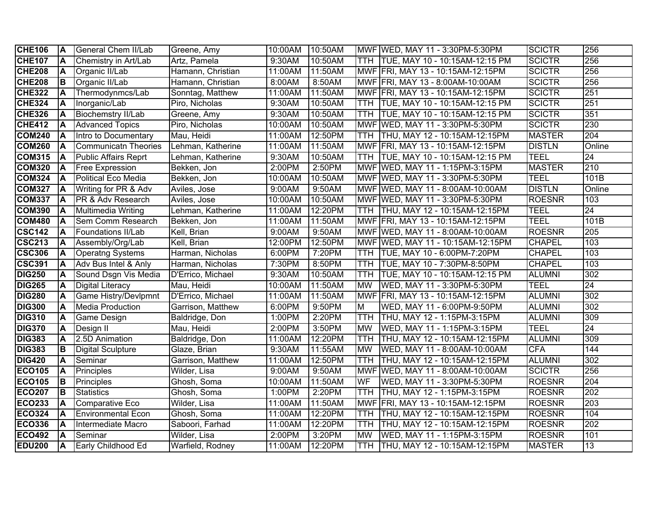| <b>CHE106</b> | ΙA        | <b>General Chem II/Lab</b>   | Greene, Amy       | 10:00AM | 10:50AM |            | MWF WED, MAY 11 - 3:30PM-5:30PM      | <b>SCICTR</b> | 256              |
|---------------|-----------|------------------------------|-------------------|---------|---------|------------|--------------------------------------|---------------|------------------|
| <b>CHE107</b> | A         | Chemistry in Art/Lab         | Artz, Pamela      | 9:30AM  | 10:50AM |            | TTH   TUE, MAY 10 - 10:15AM-12:15 PM | <b>SCICTR</b> | 256              |
| <b>CHE208</b> | A         | Organic II/Lab               | Hamann, Christian | 11:00AM | 11:50AM |            | MWF FRI, MAY 13 - 10:15AM-12:15PM    | <b>SCICTR</b> | 256              |
| <b>CHE208</b> | IВ        | Organic II/Lab               | Hamann, Christian | 8:00AM  | 8:50AM  |            | MWF FRI, MAY 13 - 8:00AM-10:00AM     | <b>SCICTR</b> | 256              |
| <b>CHE322</b> | ΙA        | Thermodynmcs/Lab             | Sonntag, Matthew  | 11:00AM | 11:50AM |            | MWF FRI, MAY 13 - 10:15AM-12:15PM    | <b>SCICTR</b> | 251              |
| <b>CHE324</b> | A         | Inorganic/Lab                | Piro, Nicholas    | 9:30AM  | 10:50AM |            | TTH TUE, MAY 10 - 10:15AM-12:15 PM   | <b>SCICTR</b> | 251              |
| <b>CHE326</b> | A         | <b>Biochemstry II/Lab</b>    | Greene, Amy       | 9:30AM  | 10:50AM |            | TTH TUE, MAY 10 - 10:15AM-12:15 PM   | <b>SCICTR</b> | 351              |
| <b>CHE412</b> | A         | <b>Advanced Topics</b>       | Piro, Nicholas    | 10:00AM | 10:50AM |            | MWF WED, MAY 11 - 3:30PM-5:30PM      | <b>SCICTR</b> | 230              |
| <b>COM240</b> | IА        | Intro to Documentary         | Mau, Heidi        | 11:00AM | 12:50PM |            | TTH THU, MAY 12 - 10:15AM-12:15PM    | <b>MASTER</b> | $\overline{204}$ |
| <b>COM260</b> | ΙA        | Communicatn Theories         | Lehman, Katherine | 11:00AM | 11:50AM |            | MWF FRI, MAY 13 - 10:15AM-12:15PM    | <b>DISTLN</b> | Online           |
| <b>COM315</b> | ΙA        | <b>Public Affairs Reprt</b>  | Lehman, Katherine | 9:30AM  | 10:50AM |            | TTH TUE, MAY 10 - 10:15AM-12:15 PM   | <b>TEEL</b>   | $\overline{24}$  |
| <b>COM320</b> | ΙA.       | <b>Free Expression</b>       | Bekken, Jon       | 2:00PM  | 2:50PM  |            | MWF WED, MAY 11 - 1:15PM-3:15PM      | <b>MASTER</b> | 210              |
| <b>COM324</b> | IA.       | Political Eco Media          | Bekken, Jon       | 10:00AM | 10:50AM |            | MWF WED, MAY 11 - 3:30PM-5:30PM      | <b>TEEL</b>   | 101B             |
| <b>COM327</b> | ΙA        | Writing for PR & Adv         | Aviles, Jose      | 9:00AM  | 9:50AM  |            | MWF WED, MAY 11 - 8:00AM-10:00AM     | <b>DISTLN</b> | Online           |
| <b>COM337</b> | A         | <b>PR &amp; Adv Research</b> | Aviles, Jose      | 10:00AM | 10:50AM |            | MWF WED, MAY 11 - 3:30PM-5:30PM      | <b>ROESNR</b> | 103              |
| <b>COM390</b> | ΙA        | Multimedia Writing           | Lehman, Katherine | 11:00AM | 12:20PM | <b>TTH</b> | THU, MAY 12 - 10:15AM-12:15PM        | <b>TEEL</b>   | $\overline{24}$  |
| <b>COM480</b> | ΙA        | <b>Sem Comm Research</b>     | Bekken, Jon       | 11:00AM | 11:50AM |            | MWF FRI, MAY 13 - 10:15AM-12:15PM    | <b>TEEL</b>   | 101B             |
| <b>CSC142</b> | ΙA        | Foundations II/Lab           | Kell, Brian       | 9:00AM  | 9:50AM  |            | MWF WED, MAY 11 - 8:00AM-10:00AM     | <b>ROESNR</b> | 205              |
| <b>CSC213</b> | ΙA        | Assembly/Org/Lab             | Kell, Brian       | 12:00PM | 12:50PM |            | MWF WED, MAY 11 - 10:15AM-12:15PM    | <b>CHAPEL</b> | 103              |
| <b>CSC306</b> | A         | <b>Operatng Systems</b>      | Harman, Nicholas  | 6:00PM  | 7:20PM  | TTH        | TUE, MAY 10 - 6:00PM-7:20PM          | <b>CHAPEL</b> | 103              |
| <b>CSC391</b> | A         | Adv Bus Intel & Anly         | Harman, Nicholas  | 7:30PM  | 8:50PM  | TTH.       | TUE, MAY 10 - 7:30PM-8:50PM          | <b>CHAPEL</b> | 103              |
| <b>DIG250</b> | A         | Sound Dsgn Vis Media         | D'Errico, Michael | 9:30AM  | 10:50AM | TTH        | TUE, MAY 10 - 10:15AM-12:15 PM       | <b>ALUMNI</b> | 302              |
| <b>DIG265</b> | A         | <b>Digital Literacy</b>      | Mau, Heidi        | 10:00AM | 11:50AM | <b>MW</b>  | WED, MAY 11 - 3:30PM-5:30PM          | <b>TEEL</b>   | $\overline{24}$  |
| <b>DIG280</b> | A         | <b>Game Histry/Devlpmnt</b>  | D'Errico, Michael | 11:00AM | 11:50AM |            | MWF FRI, MAY 13 - 10:15AM-12:15PM    | <b>ALUMNI</b> | 302              |
| <b>DIG300</b> | A         | <b>Media Production</b>      | Garrison, Matthew | 6:00PM  | 9:50PM  | M          | WED, MAY 11 - 6:00PM-9:50PM          | <b>ALUMNI</b> | $\overline{302}$ |
| <b>DIG310</b> | A         | Game Design                  | Baldridge, Don    | 1:00PM  | 2:20PM  | <b>TTH</b> | THU, MAY 12 - 1:15PM-3:15PM          | <b>ALUMNI</b> | 309              |
| <b>DIG370</b> | A         | Design II                    | Mau, Heidi        | 2:00PM  | 3:50PM  | <b>MW</b>  | WED, MAY 11 - 1:15PM-3:15PM          | <b>TEEL</b>   | $\overline{24}$  |
| <b>DIG383</b> | A         | 2.5D Animation               | Baldridge, Don    | 11:00AM | 12:20PM | <b>TTH</b> | THU, MAY 12 - 10:15AM-12:15PM        | <b>ALUMNI</b> | 309              |
| <b>DIG383</b> | B         | <b>Digital Sculpture</b>     | Glaze, Brian      | 9:30AM  | 11:55AM | <b>MW</b>  | WED, MAY 11 - 8:00AM-10:00AM         | <b>CFA</b>    | 144              |
| <b>DIG420</b> | A         | Seminar                      | Garrison, Matthew | 11:00AM | 12:50PM | <b>TTH</b> | THU, MAY 12 - 10:15AM-12:15PM        | <b>ALUMNI</b> | 302              |
| <b>ECO105</b> | ΙA        | Principles                   | Wilder, Lisa      | 9:00AM  | 9:50AM  |            | MWF WED, MAY 11 - 8:00AM-10:00AM     | <b>SCICTR</b> | 256              |
| <b>ECO105</b> | IВ        | Principles                   | Ghosh, Soma       | 10:00AM | 11:50AM | WF         | WED, MAY 11 - 3:30PM-5:30PM          | <b>ROESNR</b> | $\overline{204}$ |
| <b>ECO207</b> | lВ        | <b>Statistics</b>            | Ghosh, Soma       | 1:00PM  | 2:20PM  | <b>TTH</b> | THU, MAY 12 - 1:15PM-3:15PM          | <b>ROESNR</b> | $\overline{202}$ |
| <b>ECO233</b> | A         | Comparative Eco              | Wilder, Lisa      | 11:00AM | 11:50AM |            | MWF FRI, MAY 13 - 10:15AM-12:15PM    | <b>ROESNR</b> | $\overline{203}$ |
| <b>ECO324</b> | ΙA        | <b>Environmental Econ</b>    | Ghosh, Soma       | 11:00AM | 12:20PM | TTH        | THU, MAY 12 - 10:15AM-12:15PM        | <b>ROESNR</b> | 104              |
| <b>ECO336</b> | ΙA        | Intermediate Macro           | Saboori, Farhad   | 11:00AM | 12:20PM | <b>TTH</b> | THU, MAY 12 - 10:15AM-12:15PM        | <b>ROESNR</b> | 202              |
| <b>ECO492</b> | A         | Seminar                      | Wilder, Lisa      | 2:00PM  | 3:20PM  | <b>MW</b>  | WED, MAY 11 - 1:15PM-3:15PM          | <b>ROESNR</b> | 101              |
| <b>EDU200</b> | <b>IA</b> | Early Childhood Ed           | Warfield, Rodney  | 11:00AM | 12:20PM | <b>TTH</b> | THU, MAY 12 - 10:15AM-12:15PM        | <b>MASTER</b> | 13               |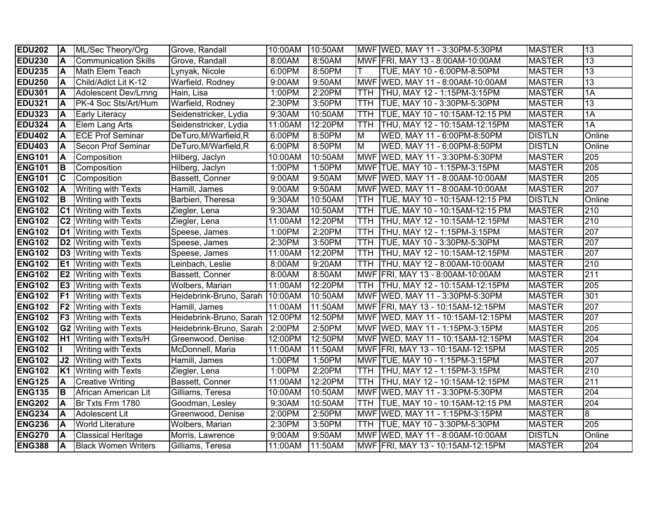| <b>EDU202</b> | ΙA                      | ML/Sec Theory/Org            | Grove, Randall                    | 10:00AM | 10:50AM |                         | MWF WED, MAY 11 - 3:30PM-5:30PM   | <b>MASTER</b> | 13               |
|---------------|-------------------------|------------------------------|-----------------------------------|---------|---------|-------------------------|-----------------------------------|---------------|------------------|
| <b>EDU230</b> | İΑ                      | <b>Communication Skills</b>  | Grove, Randall                    | 8:00AM  | 8:50AM  |                         | MWF FRI, MAY 13 - 8:00AM-10:00AM  | <b>MASTER</b> | 13               |
| <b>EDU235</b> | İΑ                      | Math Elem Teach              | Lynyak, Nicole                    | 6:00PM  | 8:50PM  | lΤ                      | TUE, MAY 10 - 6:00PM-8:50PM       | <b>MASTER</b> | $\overline{13}$  |
| <b>EDU250</b> | ΙA                      | Child/Adlct Lit K-12         | Warfield, Rodney                  | 9:00AM  | 9:50AM  |                         | MWF WED, MAY 11 - 8:00AM-10:00AM  | <b>MASTER</b> | 13               |
| <b>EDU301</b> | ΙA                      | Adolescent Dev/Lrnng         | Hain, Lisa                        | 1:00PM  | 2:20PM  |                         | TTH   THU, MAY 12 - 1:15PM-3:15PM | <b>MASTER</b> | 1A               |
| <b>EDU321</b> | A                       | PK-4 Soc Sts/Art/Hum         | Warfield, Rodney                  | 2:30PM  | 3:50PM  | <b>TTH</b>              | TUE, MAY 10 - 3:30PM-5:30PM       | <b>MASTER</b> | 13               |
| <b>EDU323</b> | IА                      | <b>Early Literacy</b>        | Seidenstricker, Lydia             | 9:30AM  | 10:50AM | TTH.                    | TUE, MAY 10 - 10:15AM-12:15 PM    | <b>MASTER</b> | 1A               |
| <b>EDU324</b> | IА                      | <b>Elem Lang Arts</b>        | Seidenstricker, Lydia             | 11:00AM | 12:20PM | <b>TTH</b>              | THU, MAY 12 - 10:15AM-12:15PM     | <b>MASTER</b> | $\overline{1A}$  |
| <b>EDU402</b> | İΑ                      | <b>ECE Prof Seminar</b>      | DeTuro, M/Warfield, R             | 6:00PM  | 8:50PM  | $\overline{\mathsf{M}}$ | WED, MAY 11 - 6:00PM-8:50PM       | <b>DISTLN</b> | Online           |
| <b>EDU403</b> | ΙA                      | Secon Prof Seminar           | DeTuro, M/Warfield, R             | 6:00PM  | 8:50PM  | $\overline{\mathsf{M}}$ | WED, MAY 11 - 6:00PM-8:50PM       | <b>DISTLN</b> | Online           |
| <b>ENG101</b> | İΑ                      | Composition                  | Hilberg, Jaclyn                   | 10:00AM | 10:50AM |                         | MWF WED, MAY 11 - 3:30PM-5:30PM   | <b>MASTER</b> | 205              |
| <b>ENG101</b> | lВ                      | Composition                  | Hilberg, Jaclyn                   | 1:00PM  | 1:50PM  |                         | MWF TUE, MAY 10 - 1:15PM-3:15PM   | <b>MASTER</b> | $\overline{205}$ |
| <b>ENG101</b> | $\overline{\mathsf{c}}$ | Composition                  | Bassett, Conner                   | 9:00AM  | 9:50AM  |                         | MWF WED, MAY 11 - 8:00AM-10:00AM  | <b>MASTER</b> | $\overline{205}$ |
| <b>ENG102</b> | <b>A</b>                | <b>Writing with Texts</b>    | Hamill, James                     | 9:00AM  | 9:50AM  |                         | MWF WED, MAY 11 - 8:00AM-10:00AM  | <b>MASTER</b> | 207              |
| <b>ENG102</b> | lв                      | <b>Writing with Texts</b>    | Barbieri, Theresa                 | 9:30AM  | 10:50AM | <b>TTH</b>              | TUE, MAY 10 - 10:15AM-12:15 PM    | <b>DISTLN</b> | Online           |
| <b>ENG102</b> |                         | <b>C1</b> Writing with Texts | Ziegler, Lena                     | 9:30AM  | 10:50AM | <b>TTH</b>              | TUE, MAY 10 - 10:15AM-12:15 PM    | <b>MASTER</b> | 210              |
| <b>ENG102</b> |                         | <b>C2</b> Writing with Texts | Ziegler, Lena                     | 11:00AM | 12:20PM | TTH.                    | THU, MAY 12 - 10:15AM-12:15PM     | <b>MASTER</b> | 210              |
| <b>ENG102</b> |                         | <b>D1</b> Writing with Texts | Speese, James                     | 1:00PM  | 2:20PM  | <b>TTH</b>              | THU, MAY 12 - 1:15PM-3:15PM       | <b>MASTER</b> | 207              |
| <b>ENG102</b> |                         | <b>D2</b> Writing with Texts | Speese, James                     | 2:30PM  | 3:50PM  | TTH                     | TUE, MAY 10 - 3:30PM-5:30PM       | <b>MASTER</b> | 207              |
| <b>ENG102</b> |                         | <b>D3</b> Writing with Texts | Speese, James                     | 11:00AM | 12:20PM | TTH                     | THU, MAY 12 - 10:15AM-12:15PM     | <b>MASTER</b> | 207              |
| <b>ENG102</b> |                         | <b>E1</b> Writing with Texts | Leinbach, Leslie                  | 8:00AM  | 9:20AM  | TTH                     | THU, MAY 12 - 8:00AM-10:00AM      | <b>MASTER</b> | $\overline{210}$ |
| <b>ENG102</b> |                         | <b>E2</b> Writing with Texts | Bassett, Conner                   | 8:00AM  | 8:50AM  |                         | MWF FRI, MAY 13 - 8:00AM-10:00AM  | <b>MASTER</b> | $\overline{211}$ |
| <b>ENG102</b> |                         | <b>E3</b> Writing with Texts | Wolbers, Marian                   | 11:00AM | 12:20PM | TTH                     | THU, MAY 12 - 10:15AM-12:15PM     | <b>MASTER</b> | $\overline{205}$ |
| <b>ENG102</b> |                         | <b>F1</b> Writing with Texts | Heidebrink-Bruno, Sarah   10:00AM |         | 10:50AM |                         | MWF WED, MAY 11 - 3:30PM-5:30PM   | <b>MASTER</b> | 301              |
| <b>ENG102</b> | F <sub>2</sub>          | <b>Writing with Texts</b>    | Hamill, James                     | 11:00AM | 11:50AM |                         | MWF FRI, MAY 13 - 10:15AM-12:15PM | <b>MASTER</b> | 207              |
| <b>ENG102</b> |                         | <b>F3</b> Writing with Texts | Heidebrink-Bruno, Sarah   12:00PM |         | 12:50PM |                         | MWF WED, MAY 11 - 10:15AM-12:15PM | <b>MASTER</b> | 207              |
| <b>ENG102</b> |                         | <b>G2</b> Writing with Texts | Heidebrink-Bruno, Sarah           | 2:00PM  | 2:50PM  |                         | MWF WED, MAY 11 - 1:15PM-3:15PM   | <b>MASTER</b> | $\overline{205}$ |
| <b>ENG102</b> |                         | H1 Writing with Texts/H      | Greenwood, Denise                 | 12:00PM | 12:50PM |                         | MWF WED, MAY 11 - 10:15AM-12:15PM | <b>MASTER</b> | $\overline{204}$ |
| <b>ENG102</b> |                         | <b>Writing with Texts</b>    | McDonnell, Maria                  | 11:00AM | 11:50AM |                         | MWF FRI, MAY 13 - 10:15AM-12:15PM | <b>MASTER</b> | $\overline{205}$ |
| <b>ENG102</b> | J2                      | <b>Writing with Texts</b>    | Hamill, James                     | 1:00PM  | 1:50PM  |                         | MWF TUE, MAY 10 - 1:15PM-3:15PM   | <b>MASTER</b> | 207              |
| <b>ENG102</b> |                         | <b>K1</b> Writing with Texts | Ziegler, Lena                     | 1:00PM  | 2:20PM  | <b>TTH</b>              | THU, MAY 12 - 1:15PM-3:15PM       | <b>MASTER</b> | 210              |
| <b>ENG125</b> | İΑ                      | <b>Creative Writing</b>      | Bassett, Conner                   | 11:00AM | 12:20PM | TTH.                    | THU, MAY 12 - 10:15AM-12:15PM     | <b>MASTER</b> | 211              |
| <b>ENG135</b> | IВ                      | African American Lit         | Gilliams, Teresa                  | 10:00AM | 10:50AM |                         | MWF WED, MAY 11 - 3:30PM-5:30PM   | <b>MASTER</b> | $\overline{204}$ |
| <b>ENG202</b> | ΙA                      | Br Txts Frm 1780             | Goodman, Lesley                   | 9:30AM  | 10:50AM | <b>TTH</b>              | TUE, MAY 10 - 10:15AM-12:15 PM    | <b>MASTER</b> | 204              |
| <b>ENG234</b> | İΑ                      | lAdolescent Lit              | Greenwood, Denise                 | 2:00PM  | 2:50PM  |                         | MWF WED, MAY 11 - 1:15PM-3:15PM   | <b>MASTER</b> | $\overline{8}$   |
| <b>ENG236</b> | İΑ                      | <b>World Literature</b>      | Wolbers, Marian                   | 2:30PM  | 3:50PM  | TTH.                    | TUE, MAY 10 - 3:30PM-5:30PM       | <b>MASTER</b> | 205              |
| <b>ENG270</b> | İΑ                      | <b>Classical Heritage</b>    | Morris, Lawrence                  | 9:00AM  | 9:50AM  |                         | MWF WED, MAY 11 - 8:00AM-10:00AM  | <b>DISTLN</b> | Online           |
| <b>ENG388</b> | ΙA                      | <b>Black Women Writers</b>   | Gilliams, Teresa                  | 11:00AM | 11:50AM |                         | MWF FRI, MAY 13 - 10:15AM-12:15PM | <b>MASTER</b> | 204              |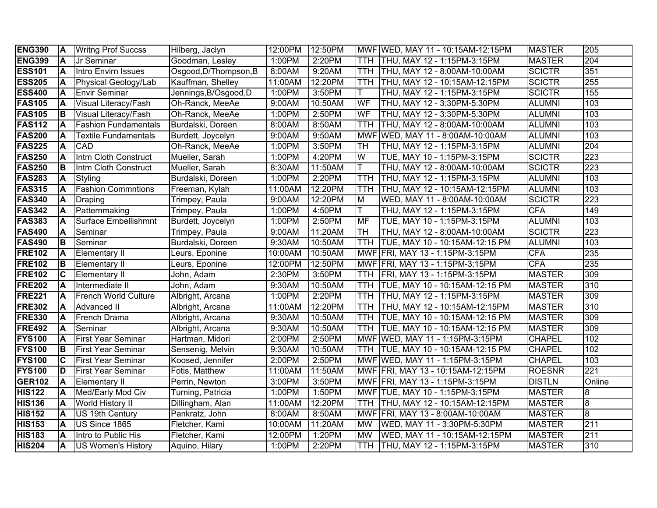| <b>ENG390</b> | ΙA  | <b>Writng Prof Succss</b>   | Hilberg, Jaclyn       | 12:00PM | 12:50PM |            | MWF WED, MAY 11 - 10:15AM-12:15PM   | <b>MASTER</b> | 205                 |
|---------------|-----|-----------------------------|-----------------------|---------|---------|------------|-------------------------------------|---------------|---------------------|
| <b>ENG399</b> | ΙA. | Jr Seminar                  | Goodman, Lesley       | 1:00PM  | 2:20PM  |            | TTH   THU, MAY 12 - 1:15PM-3:15PM   | <b>MASTER</b> | $\overline{204}$    |
| <b>ESS101</b> | ΙA. | Intro Envirn Issues         | Osgood, D/Thompson, B | 8:00AM  | 9:20AM  | TTH        | THU, MAY 12 - 8:00AM-10:00AM        | <b>SCICTR</b> | 351                 |
| <b>ESS205</b> | ΙA  | Physical Geology/Lab        | Kauffman, Shelley     | 11:00AM | 12:20PM |            | TTH  THU, MAY 12 - 10:15AM-12:15PM  | <b>SCICTR</b> | 255                 |
| <b>ESS400</b> | ΙA  | <b>Envir Seminar</b>        | Jennings, B/Osgood, D | 1:00PM  | 3:50PM  | т          | THU, MAY 12 - 1:15PM-3:15PM         | <b>SCICTR</b> | 155                 |
| <b>FAS105</b> | A   | Visual Literacy/Fash        | Oh-Ranck, MeeAe       | 9:00AM  | 10:50AM | WF         | THU, MAY 12 - 3:30PM-5:30PM         | <b>ALUMNI</b> | 103                 |
| <b>FAS105</b> | ΙB  | Visual Literacy/Fash        | Oh-Ranck, MeeAe       | 1:00PM  | 2:50PM  | WF         | THU, MAY 12 - 3:30PM-5:30PM         | <b>ALUMNI</b> | 103                 |
| <b>FAS112</b> | ΙA  | <b>Fashion Fundamentals</b> | Burdalski, Doreen     | 8:00AM  | 8:50AM  | <b>TTH</b> | THU, MAY 12 - 8:00AM-10:00AM        | <b>ALUMNI</b> | 103                 |
| <b>FAS200</b> | A   | Textile Fundamentals        | Burdett, Joycelyn     | 9:00AM  | 9:50AM  |            | MWF WED, MAY 11 - 8:00AM-10:00AM    | <b>ALUMNI</b> | 103                 |
| <b>FAS225</b> | A   | <b>CAD</b>                  | Oh-Ranck, MeeAe       | 1:00PM  | 3:50PM  | TH         | THU, MAY 12 - 1:15PM-3:15PM         | <b>ALUMNI</b> | 204                 |
| <b>FAS250</b> | ΙA  | Intm Cloth Construct        | Mueller, Sarah        | 1:00PM  | 4:20PM  | W          | TUE, MAY 10 - 1:15PM-3:15PM         | <b>SCICTR</b> | $\overline{223}$    |
| <b>FAS250</b> | IB. | Intm Cloth Construct        | Mueller, Sarah        | 8:30AM  | 11:50AM | ΙΤ         | THU, MAY 12 - 8:00AM-10:00AM        | <b>SCICTR</b> | 223                 |
| <b>FAS283</b> | ΙA  | Styling                     | Burdalski, Doreen     | 1:00PM  | 2:20PM  | <b>TTH</b> | THU, MAY 12 - 1:15PM-3:15PM         | <b>ALUMNI</b> | 103                 |
| <b>FAS315</b> | A   | <b>Fashion Commntions</b>   | Freeman, Kylah        | 11:00AM | 12:20PM | TTH        | THU, MAY 12 - 10:15AM-12:15PM       | <b>ALUMNI</b> | 103                 |
| <b>FAS340</b> | A   | Draping                     | Trimpey, Paula        | 9:00AM  | 12:20PM | <b>M</b>   | WED, MAY 11 - 8:00AM-10:00AM        | <b>SCICTR</b> | $\overline{223}$    |
| <b>FAS342</b> | A   | Patternmaking               | Trimpey, Paula        | 1:00PM  | 4:50PM  | T          | THU, MAY 12 - 1:15PM-3:15PM         | <b>CFA</b>    | 149                 |
| <b>FAS383</b> | ΙA  | Surface Embellishmnt        | Burdett, Joycelyn     | 1:00PM  | 2:50PM  | MF         | TUE, MAY 10 - 1:15PM-3:15PM         | <b>ALUMNI</b> | 103                 |
| <b>FAS490</b> | ΙA  | Seminar                     | Trimpey, Paula        | 9:00AM  | 11:20AM | lТH        | THU, MAY 12 - 8:00AM-10:00AM        | <b>SCICTR</b> | $\overline{223}$    |
| <b>FAS490</b> | ΙB. | Seminar                     | Burdalski, Doreen     | 9:30AM  | 10:50AM | <b>TTH</b> | TUE, MAY 10 - 10:15AM-12:15 PM      | <b>ALUMNI</b> | 103                 |
| <b>FRE102</b> | A   | <b>Elementary II</b>        | Leurs, Eponine        | 10:00AM | 10:50AM |            | MWF FRI, MAY 13 - 1:15PM-3:15PM     | <b>CFA</b>    | 235                 |
| <b>FRE102</b> | B   | <b>Elementary II</b>        | Leurs, Eponine        | 12:00PM | 12:50PM |            | MWF FRI, MAY 13 - 1:15PM-3:15PM     | <b>CFA</b>    | 235                 |
| <b>FRE102</b> | C   | <b>Elementary II</b>        | John, Adam            | 2:30PM  | 3:50PM  |            | TTH   FRI, MAY 13 - 1:15PM-3:15PM   | <b>MASTER</b> | 309                 |
| <b>FRE202</b> | A   | Intermediate II             | John, Adam            | 9:30AM  | 10:50AM |            | TTH TUE, MAY 10 - 10:15AM-12:15 PM  | <b>MASTER</b> | $\overline{310}$    |
| <b>FRE221</b> | A   | <b>French World Culture</b> | Albright, Arcana      | 1:00PM  | 2:20PM  |            | TTH   THU, MAY 12 - 1:15PM-3:15PM   | <b>MASTER</b> | 309                 |
| <b>FRE302</b> | A   | Advanced II                 | Albright, Arcana      | 11:00AM | 12:20PM |            | TTH   THU, MAY 12 - 10:15AM-12:15PM | <b>MASTER</b> | 310                 |
| <b>FRE330</b> | ΙA  | French Drama                | Albright, Arcana      | 9:30AM  | 10:50AM |            | TTH TUE, MAY 10 - 10:15AM-12:15 PM  | <b>MASTER</b> | 309                 |
| <b>FRE492</b> | ΙA  | Seminar                     | Albright, Arcana      | 9:30AM  | 10:50AM |            | TTH TUE, MAY 10 - 10:15AM-12:15 PM  | <b>MASTER</b> | 309                 |
| <b>FYS100</b> | ΙA  | <b>First Year Seminar</b>   | Hartman, Midori       | 2:00PM  | 2:50PM  |            | MWF WED, MAY 11 - 1:15PM-3:15PM     | <b>CHAPEL</b> | 102                 |
| <b>FYS100</b> | IВ  | <b>First Year Seminar</b>   | Sensenig, Melvin      | 9:30AM  | 10:50AM |            | TTH TUE, MAY 10 - 10:15AM-12:15 PM  | <b>CHAPEL</b> | 102                 |
| <b>FYS100</b> | C   | <b>First Year Seminar</b>   | Koosed, Jennifer      | 2:00PM  | 2:50PM  |            | MWF WED, MAY 11 - 1:15PM-3:15PM     | <b>CHAPEL</b> | 103                 |
| <b>FYS100</b> | ID  | <b>First Year Seminar</b>   | Fotis, Matthew        | 11:00AM | 11:50AM |            | MWF FRI, MAY 13 - 10:15AM-12:15PM   | <b>ROESNR</b> | 221                 |
| <b>GER102</b> | ΙA  | <b>Elementary II</b>        | Perrin, Newton        | 3:00PM  | 3:50PM  |            | MWF FRI, MAY 13 - 1:15PM-3:15PM     | <b>DISTLN</b> | Online              |
| <b>HIS122</b> | A   | Med/Early Mod Civ           | Turning, Patricia     | 1:00PM  | 1:50PM  |            | MWF TUE, MAY 10 - 1:15PM-3:15PM     | <b>MASTER</b> | 8                   |
| <b>HIS136</b> | ΙA  | World History II            | Dillingham, Alan      | 11:00AM | 12:20PM | <b>TTH</b> | THU, MAY 12 - 10:15AM-12:15PM       | <b>MASTER</b> | 8                   |
| <b>HIS152</b> | A   | US 19th Century             | Pankratz, John        | 8:00AM  | 8:50AM  |            | MWF FRI, MAY 13 - 8:00AM-10:00AM    | <b>MASTER</b> | $\overline{\infty}$ |
| <b>HIS153</b> | A   | US Since 1865               | Fletcher, Kami        | 10:00AM | 11:20AM | <b>MW</b>  | WED, MAY 11 - 3:30PM-5:30PM         | <b>MASTER</b> | 211                 |
| <b>HIS183</b> | A   | Intro to Public His         | Fletcher, Kami        | 12:00PM | 1:20PM  | <b>MW</b>  | WED, MAY 11 - 10:15AM-12:15PM       | <b>MASTER</b> | 211                 |
| <b>HIS204</b> | A   | <b>US Women's History</b>   | Aquino, Hilary        | 1:00PM  | 2:20PM  |            | TTH THU, MAY 12 - 1:15PM-3:15PM     | <b>MASTER</b> | 310                 |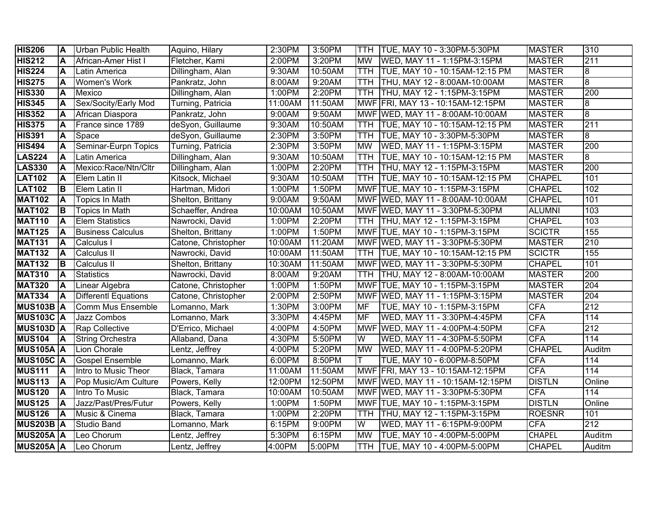| <b>HIS206</b>    | ΙA       | Urban Public Health      | Aquino, Hilary      | 2:30PM                | 3:50PM  |                         | TTH   TUE, MAY 10 - 3:30PM-5:30PM  | <b>MASTER</b> | 310              |
|------------------|----------|--------------------------|---------------------|-----------------------|---------|-------------------------|------------------------------------|---------------|------------------|
| <b>HIS212</b>    | A        | African-Amer Hist I      | Fletcher, Kami      | 2:00PM                | 3:20PM  | <b>MW</b>               | WED, MAY 11 - 1:15PM-3:15PM        | <b>MASTER</b> | 211              |
| <b>HIS224</b>    | A        | Latin America            | Dillingham, Alan    | 9:30AM                | 10:50AM | <b>TTH</b>              | TUE, MAY 10 - 10:15AM-12:15 PM     | <b>MASTER</b> | œ                |
| <b>HIS275</b>    | ΙA       | <b>Women's Work</b>      | Pankratz, John      | 8:00AM                | 9:20AM  |                         | TTH THU, MAY 12 - 8:00AM-10:00AM   | <b>MASTER</b> | 8                |
| <b>HIS330</b>    | ΙA       | Mexico                   | Dillingham, Alan    | 1:00PM                | 2:20PM  |                         | TTH   THU, MAY 12 - 1:15PM-3:15PM  | <b>MASTER</b> | 200              |
| <b>HIS345</b>    | A        | Sex/Socity/Early Mod     | Turning, Patricia   | 11:00AM               | 11:50AM |                         | MWF FRI, MAY 13 - 10:15AM-12:15PM  | <b>MASTER</b> | œ                |
| <b>HIS352</b>    | A        | African Diaspora         | Pankratz, John      | 9:00AM                | 9:50AM  |                         | MWF WED, MAY 11 - 8:00AM-10:00AM   | <b>MASTER</b> | 8                |
| <b>HIS375</b>    | A        | France since 1789        | deSyon, Guillaume   | 9:30AM                | 10:50AM |                         | TTH TUE, MAY 10 - 10:15AM-12:15 PM | <b>MASTER</b> | 211              |
| <b>HIS391</b>    | A        | Space                    | deSyon, Guillaume   | 2:30PM                | 3:50PM  |                         | TTH TUE, MAY 10 - 3:30PM-5:30PM    | <b>MASTER</b> | 8                |
| <b>HIS494</b>    | A        | Seminar-Eurpn Topics     | Turning, Patricia   | 2:30PM                | 3:50PM  | <b>MW</b>               | WED, MAY 11 - 1:15PM-3:15PM        | <b>MASTER</b> | 200              |
| <b>LAS224</b>    | A        | Latin America            | Dillingham, Alan    | 9:30AM                | 10:50AM | <b>TTH</b>              | TUE, MAY 10 - 10:15AM-12:15 PM     | <b>MASTER</b> | ø                |
| <b>LAS330</b>    | ΙA       | Mexico:Race/Ntn/Cltr     | Dillingham, Alan    | 1:00PM                | 2:20PM  | TTH                     | THU, MAY 12 - 1:15PM-3:15PM        | <b>MASTER</b> | 200              |
| <b>LAT102</b>    | ΙA       | Elem Latin II            | Kitsock, Michael    | 9:30AM                | 10:50AM | <b>TTH</b>              | TUE, MAY 10 - 10:15AM-12:15 PM     | <b>CHAPEL</b> | 101              |
| <b>LAT102</b>    | lв       | Elem Latin II            | Hartman, Midori     | 1:00PM                | 1:50PM  |                         | MWF TUE, MAY 10 - 1:15PM-3:15PM    | <b>CHAPEL</b> | 102              |
| <b>MAT102</b>    | IА       | Topics In Math           | Shelton, Brittany   | 9:00AM                | 9:50AM  |                         | MWF WED, MAY 11 - 8:00AM-10:00AM   | <b>CHAPEL</b> | 101              |
| <b>MAT102</b>    | lв       | Topics In Math           | Schaeffer, Andrea   | 10:00AM               | 10:50AM |                         | MWF WED, MAY 11 - 3:30PM-5:30PM    | <b>ALUMNI</b> | 103              |
| <b>MAT110</b>    | ΙA       | <b>Elem Statistics</b>   | Nawrocki, David     | 1:00PM                | 2:20PM  |                         | TTH   THU, MAY 12 - 1:15PM-3:15PM  | <b>CHAPEL</b> | 103              |
| <b>MAT125</b>    | ΙA       | <b>Business Calculus</b> | Shelton, Brittany   | 1:00PM                | 1:50PM  |                         | MWF TUE, MAY 10 - 1:15PM-3:15PM    | <b>SCICTR</b> | 155              |
| <b>MAT131</b>    | ΙA       | Calculus I               | Catone, Christopher | 10:00AM               | 11:20AM |                         | MWF WED, MAY 11 - 3:30PM-5:30PM    | <b>MASTER</b> | 210              |
| <b>MAT132</b>    | ΙA       | Calculus II              | Nawrocki, David     | 10:00AM               | 11:50AM |                         | TTH TUE, MAY 10 - 10:15AM-12:15 PM | <b>SCICTR</b> | 155              |
| <b>MAT132</b>    | lВ       | Calculus II              | Shelton, Brittany   | 10:30AM               | 11:50AM |                         | MWF WED, MAY 11 - 3:30PM-5:30PM    | <b>CHAPEL</b> | 101              |
| <b>MAT310</b>    | A        | <b>Statistics</b>        | Nawrocki, David     | 8:00AM                | 9:20AM  | TTH                     | THU, MAY 12 - 8:00AM-10:00AM       | <b>MASTER</b> | $\overline{200}$ |
| <b>MAT320</b>    | A        | Linear Algebra           | Catone, Christopher | 1:00PM                | 1:50PM  |                         | MWF TUE, MAY 10 - 1:15PM-3:15PM    | <b>MASTER</b> | 204              |
| <b>MAT334</b>    | <b>A</b> | Differentl Equations     | Catone, Christopher | 2:00PM                | 2:50PM  |                         | MWF WED, MAY 11 - 1:15PM-3:15PM    | <b>MASTER</b> | $\overline{204}$ |
| <b>MUS103B A</b> |          | <b>Comm Mus Ensemble</b> | Lomanno, Mark       | 1:30PM                | 3:00PM  | <b>MF</b>               | TUE, MAY 10 - 1:15PM-3:15PM        | <b>CFA</b>    | $\overline{212}$ |
| <b>MUS103C A</b> |          | Jazz Combos              | Lomanno, Mark       | 3:30PM                | 4:45PM  | <b>MF</b>               | WED, MAY 11 - 3:30PM-4:45PM        | <b>CFA</b>    | 114              |
| <b>MUS103D A</b> |          | <b>Rap Collective</b>    | D'Errico, Michael   | 4:00PM                | 4:50PM  |                         | MWF WED, MAY 11 - 4:00PM-4:50PM    | <b>CFA</b>    | 212              |
| <b>MUS104</b>    | ΙA       | <b>String Orchestra</b>  | Allaband, Dana      | 4:30PM                | 5:50PM  | $\overline{\mathsf{W}}$ | WED, MAY 11 - 4:30PM-5:50PM        | <b>CFA</b>    | 114              |
| <b>MUS105A A</b> |          | Lion Chorale             | Lentz, Jeffrey      | 4:00PM                | 5:20PM  | <b>MW</b>               | WED, MAY 11 - 4:00PM-5:20PM        | <b>CHAPEL</b> | Auditm           |
| <b>MUS105C A</b> |          | <b>Gospel Ensemble</b>   | Lomanno, Mark       | 6:00PM                | 8:50PM  | T                       | TUE, MAY 10 - 6:00PM-8:50PM        | CFA           | 114              |
| <b>MUS111</b>    | ΙA       | Intro to Music Theor     | Black, Tamara       | 11:00AM               | 11:50AM |                         | MWF FRI, MAY 13 - 10:15AM-12:15PM  | <b>CFA</b>    | 114              |
| <b>MUS113</b>    | ΙA       | Pop Music/Am Culture     | Powers, Kelly       | $\overline{12}$ :00PM | 12:50PM |                         | MWF WED, MAY 11 - 10:15AM-12:15PM  | <b>DISTLN</b> | Online           |
| <b>MUS120</b>    | ΙA       | Intro To Music           | Black, Tamara       | 10:00AM               | 10:50AM |                         | MWF WED, MAY 11 - 3:30PM-5:30PM    | <b>CFA</b>    | 114              |
| <b>MUS125</b>    | ΙA       | Jazz/Past/Pres/Futur     | Powers, Kelly       | 1:00PM                | 1:50PM  |                         | MWF TUE, MAY 10 - 1:15PM-3:15PM    | <b>DISTLN</b> | Online           |
| <b>MUS126</b>    | ΙA       | Music & Cinema           | Black, Tamara       | 1:00PM                | 2:20PM  | TTH                     | THU, MAY 12 - 1:15PM-3:15PM        | <b>ROESNR</b> | 101              |
| <b>MUS203B A</b> |          | <b>Studio Band</b>       | Lomanno, Mark       | 6:15PM                | 9:00PM  | $\overline{\mathsf{W}}$ | WED, MAY 11 - 6:15PM-9:00PM        | <b>CFA</b>    | 212              |
| <b>MUS205A A</b> |          | Leo Chorum               | Lentz, Jeffrey      | 5:30PM                | 6:15PM  | <b>MW</b>               | TUE, MAY 10 - 4:00PM-5:00PM        | <b>CHAPEL</b> | Auditm           |
| <b>MUS205A A</b> |          | Leo Chorum               | Lentz, Jeffrey      | 4:00PM                | 5:00PM  | <b>TTH</b>              | TUE, MAY 10 - 4:00PM-5:00PM        | <b>CHAPEL</b> | Auditm           |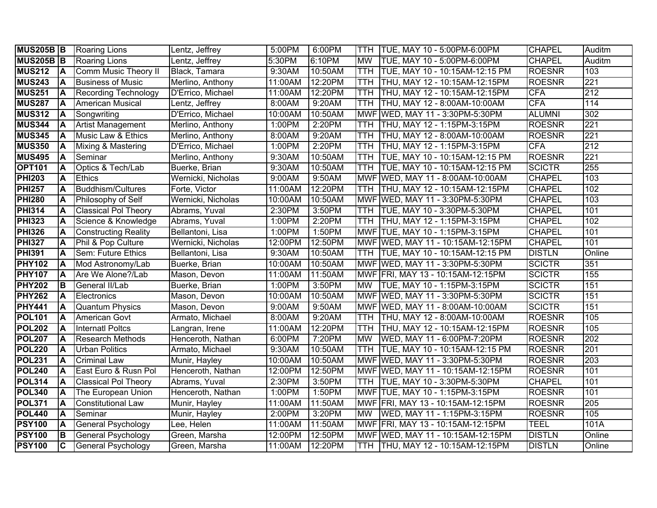| <b>MUS205B B</b>               |                | Roaring Lions                                   | Lentz, Jeffrey                 | 5:00PM             | 6:00PM             | TTH.       | TUE, MAY 10 - 5:00PM-6:00PM                                            | <b>CHAPEL</b>                  | Auditm           |
|--------------------------------|----------------|-------------------------------------------------|--------------------------------|--------------------|--------------------|------------|------------------------------------------------------------------------|--------------------------------|------------------|
| <b>MUS205B B</b>               |                | <b>Roaring Lions</b>                            | Lentz, Jeffrey                 | 5:30PM             | 6:10PM             | <b>MW</b>  | TUE, MAY 10 - 5:00PM-6:00PM                                            | <b>CHAPEL</b>                  | Auditm           |
| <b>MUS212</b>                  | <b>A</b>       | Comm Music Theory II                            | Black, Tamara                  | 9:30AM             | 10:50AM            | <b>TTH</b> | TUE, MAY 10 - 10:15AM-12:15 PM                                         | <b>ROESNR</b>                  | 103              |
| <b>MUS243</b>                  | ΙA             | <b>Business of Music</b>                        | Merlino, Anthony               | 11:00AM            | 12:20PM            |            | TTH THU, MAY 12 - 10:15AM-12:15PM                                      | <b>ROESNR</b>                  | 221              |
| <b>MUS251</b>                  | ΙA             | <b>Recording Technology</b>                     | D'Errico, Michael              | 11:00AM            | 12:20PM            |            | TTH THU, MAY 12 - 10:15AM-12:15PM                                      | <b>CFA</b>                     | 212              |
| <b>MUS287</b>                  | A              | <b>American Musical</b>                         | Lentz, Jeffrey                 | 8:00AM             | 9:20AM             |            | TTH THU, MAY 12 - 8:00AM-10:00AM                                       | <b>CFA</b>                     | 114              |
| <b>MUS312</b>                  | <b>A</b>       | Songwriting                                     | D'Errico, Michael              | 10:00AM            | 10:50AM            |            | MWF WED, MAY 11 - 3:30PM-5:30PM                                        | <b>ALUMNI</b>                  | 302              |
| <b>MUS344</b>                  | A              | <b>Artist Management</b>                        | Merlino, Anthony               | 1:00PM             | 2:20PM             |            | TTH THU, MAY 12 - 1:15PM-3:15PM                                        | <b>ROESNR</b>                  | $\overline{221}$ |
| <b>MUS345</b>                  | A              | Music Law & Ethics                              | Merlino, Anthony               | 8:00AM             | 9:20AM             |            | TTH  THU, MAY 12 - 8:00AM-10:00AM                                      | <b>ROESNR</b>                  | $\overline{221}$ |
| <b>MUS350</b>                  | ΙA             | Mixing & Mastering                              | D'Errico, Michael              | 1:00PM             | 2:20PM             |            | TTH THU, MAY 12 - 1:15PM-3:15PM                                        | <b>CFA</b>                     | 212              |
| <b>MUS495</b>                  | ΙA             | Seminar                                         | Merlino, Anthony               | 9:30AM             | 10:50AM            | <b>TTH</b> | TUE, MAY 10 - 10:15AM-12:15 PM                                         | <b>ROESNR</b>                  | $\overline{221}$ |
| <b>OPT101</b>                  | ΙA             | Optics & Tech/Lab                               | Buerke, Brian                  | 9:30AM             | 10:50AM            | TTH        | TUE, MAY 10 - 10:15AM-12:15 PM                                         | <b>SCICTR</b>                  | 255              |
| <b>PHI203</b>                  | <b>A</b>       | Ethics                                          | Wernicki, Nicholas             | 9:00AM             | 9:50AM             |            | MWF WED, MAY 11 - 8:00AM-10:00AM                                       | <b>CHAPEL</b>                  | 103              |
| <b>PHI257</b>                  | A              | <b>Buddhism/Cultures</b>                        | Forte, Victor                  | 11:00AM            | 12:20PM            | TTH        | THU, MAY 12 - 10:15AM-12:15PM                                          | <b>CHAPEL</b>                  | 102              |
| <b>PHI280</b>                  | A              | Philosophy of Self                              | Wernicki, Nicholas             | 10:00AM            | 10:50AM            |            | MWF WED, MAY 11 - 3:30PM-5:30PM                                        | <b>CHAPEL</b>                  | 103              |
| <b>PHI314</b>                  | A              | <b>Classical Pol Theory</b>                     | Abrams, Yuval                  | 2:30PM             | 3:50PM             | TTH        | TUE, MAY 10 - 3:30PM-5:30PM                                            | <b>CHAPEL</b>                  | 101              |
| <b>PHI323</b>                  | A              | Science & Knowledge                             | Abrams, Yuval                  | 1:00PM             | 2:20PM             |            | TTH   THU, MAY 12 - 1:15PM-3:15PM                                      | <b>CHAPEL</b>                  | 102              |
| <b>PHI326</b>                  | A              | <b>Constructing Reality</b>                     | Bellantoni, Lisa               | 1:00PM             | 1:50PM             |            | MWF TUE, MAY 10 - 1:15PM-3:15PM                                        | <b>CHAPEL</b>                  | 101              |
| <b>PHI327</b>                  | A              | Phil & Pop Culture                              | Wernicki, Nicholas             | 12:00PM            | 12:50PM            |            | MWF WED, MAY 11 - 10:15AM-12:15PM                                      | <b>CHAPEL</b>                  | 101              |
|                                |                |                                                 |                                |                    |                    |            |                                                                        |                                |                  |
|                                | A              | Sem: Future Ethics                              | Bellantoni, Lisa               | 9:30AM             | 10:50AM            |            | TTH TUE, MAY 10 - 10:15AM-12:15 PM                                     | <b>DISTLN</b>                  | Online           |
| <b>PHI391</b><br><b>PHY102</b> | ΙA             | Mod Astronomy/Lab                               | Buerke, Brian                  | 10:00AM            | 10:50AM            |            | MWF WED, MAY 11 - 3:30PM-5:30PM                                        | <b>SCICTR</b>                  | 351              |
| <b>PHY107</b>                  | A              | Are We Alone?/Lab                               | Mason, Devon                   | 11:00AM            | 11:50AM            |            | MWF FRI, MAY 13 - 10:15AM-12:15PM                                      | <b>SCICTR</b>                  | 155              |
| <b>PHY202</b>                  | B              | General II/Lab                                  | Buerke, Brian                  | 1:00PM             | 3:50PM             | МW         | TUE, MAY 10 - 1:15PM-3:15PM                                            | <b>SCICTR</b>                  | 151              |
| <b>PHY262</b>                  | A              | Electronics                                     | Mason, Devon                   | 10:00AM            | 10:50AM            |            | MWF WED, MAY 11 - 3:30PM-5:30PM                                        | <b>SCICTR</b>                  | 151              |
|                                |                | <b>Quantum Physics</b>                          | Mason, Devon                   | 9:00AM             | 9:50AM             |            | MWF WED, MAY 11 - 8:00AM-10:00AM                                       | <b>SCICTR</b>                  | 151              |
| <b>PHY441</b><br><b>POL101</b> | ΙA             | <b>American Govt</b>                            | Armato, Michael                | 8:00AM             | 9:20AM             |            | TTH  THU, MAY 12 - 8:00AM-10:00AM                                      | <b>ROESNR</b>                  | 105              |
| <b>POL202</b>                  | ΙA             | <b>Internatl Poltcs</b>                         | Langran, Irene                 | 11:00AM            | 12:20PM            | <b>TTH</b> | THU, MAY 12 - 10:15AM-12:15PM                                          | <b>ROESNR</b>                  | 105              |
| <b>POL207</b>                  |                | <b>Research Methods</b>                         | Henceroth, Nathan              | 6:00PM             | 7:20PM             | <b>MW</b>  | WED, MAY 11 - 6:00PM-7:20PM                                            | <b>ROESNR</b>                  | $\overline{202}$ |
| <b>POL220</b>                  | ΙA             | <b>Urban Politics</b>                           | Armato, Michael                | 9:30AM             | 10:50AM            | <b>TTH</b> | TUE, MAY 10 - 10:15AM-12:15 PM                                         | <b>ROESNR</b>                  | 201              |
| <b>POL231</b>                  | ΙA             | <b>Criminal Law</b>                             | Munir, Hayley                  | 10:00AM            | 10:50AM            |            | MWF WED, MAY 11 - 3:30PM-5:30PM                                        | <b>ROESNR</b>                  | 203              |
| <b>POL240</b>                  | ΙA             | East Euro & Rusn Pol                            | Henceroth, Nathan              | 12:00PM            | 12:50PM            |            | MWF WED, MAY 11 - 10:15AM-12:15PM                                      | <b>ROESNR</b>                  | 101              |
| <b>POL314</b>                  | ΙA             | <b>Classical Pol Theory</b>                     | Abrams, Yuval                  | 2:30PM             | 3:50PM             | TTH        | TUE, MAY 10 - 3:30PM-5:30PM                                            | <b>CHAPEL</b>                  | 101              |
| <b>POL340</b>                  | ΙA             | The European Union                              | Henceroth, Nathan              | 1:00PM             | 1:50PM             |            | MWF TUE, MAY 10 - 1:15PM-3:15PM                                        | <b>ROESNR</b>                  | 101              |
| <b>POL371</b>                  | ΙA             | <b>Constitutional Law</b>                       | Munir, Hayley                  | 11:00AM            | 11:50AM            |            | MWF FRI, MAY 13 - 10:15AM-12:15PM                                      | <b>ROESNR</b>                  | 205              |
| <b>POL440</b>                  | A              | Seminar                                         | Munir, Hayley                  | 2:00PM             | 3:20PM             | <b>MW</b>  | WED, MAY 11 - 1:15PM-3:15PM                                            | <b>ROESNR</b>                  | 105              |
| <b>PSY100</b>                  | ΙA             | General Psychology                              | Lee, Helen                     | 11:00AM            | 11:50AM            |            | MWF FRI, MAY 13 - 10:15AM-12:15PM                                      | <b>TEEL</b>                    | 101A             |
| <b>PSY100</b><br><b>PSY100</b> | lв<br><u>ଚ</u> | General Psychology<br><b>General Psychology</b> | Green, Marsha<br>Green, Marsha | 12:00PM<br>11:00AM | 12:50PM<br>12:20PM |            | MWF WED, MAY 11 - 10:15AM-12:15PM<br>TTH THU, MAY 12 - 10:15AM-12:15PM | <b>DISTLN</b><br><b>DISTLN</b> | Online<br>Online |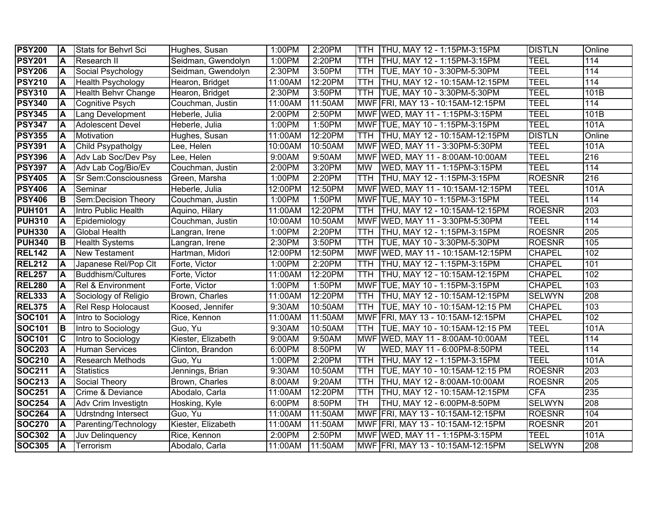| <b>PSY200</b> | ΙA       | Stats for Behvrl Sci       | Hughes, Susan      | 1:00PM  | 2:20PM  | TTH.                    | THU, MAY 12 - 1:15PM-3:15PM        | <b>DISTLN</b> | Online           |
|---------------|----------|----------------------------|--------------------|---------|---------|-------------------------|------------------------------------|---------------|------------------|
| <b>PSY201</b> | ΙA       | <b>Research II</b>         | Seidman, Gwendolyn | 1:00PM  | 2:20PM  | TTH                     | THU, MAY 12 - 1:15PM-3:15PM        | <b>TEEL</b>   | 114              |
| <b>PSY206</b> | A        | Social Psychology          | Seidman, Gwendolyn | 2:30PM  | 3:50PM  | TTH                     | TUE, MAY 10 - 3:30PM-5:30PM        | <b>TEEL</b>   | 114              |
| <b>PSY210</b> | A        | Health Psychology          | Hearon, Bridget    | 11:00AM | 12:20PM | <b>TTH</b>              | THU, MAY 12 - 10:15AM-12:15PM      | <b>TEEL</b>   | 114              |
| <b>PSY310</b> | A        | <b>Health Behvr Change</b> | Hearon, Bridget    | 2:30PM  | 3:50PM  | <b>TTH</b>              | TUE, MAY 10 - 3:30PM-5:30PM        | <b>TEEL</b>   | 101B             |
| <b>PSY340</b> | ΙA       | Cognitive Psych            | Couchman, Justin   | 11:00AM | 11:50AM |                         | MWF FRI, MAY 13 - 10:15AM-12:15PM  | <b>TEEL</b>   | 114              |
| <b>PSY345</b> | A        | Lang Development           | Heberle, Julia     | 2:00PM  | 2:50PM  |                         | MWF WED, MAY 11 - 1:15PM-3:15PM    | <b>TEEL</b>   | 101B             |
| <b>PSY347</b> | A        | <b>Adolescent Devel</b>    | Heberle, Julia     | 1:00PM  | 1:50PM  |                         | MWF TUE, MAY 10 - 1:15PM-3:15PM    | TEEL          | 101A             |
| <b>PSY355</b> | <b>A</b> | Motivation                 | Hughes, Susan      | 11:00AM | 12:20PM |                         | TTH THU, MAY 12 - 10:15AM-12:15PM  | <b>DISTLN</b> | Online           |
| <b>PSY391</b> | A        | Child Psypatholgy          | Lee, Helen         | 10:00AM | 10:50AM |                         | MWF WED, MAY 11 - 3:30PM-5:30PM    | <b>TEEL</b>   | 101A             |
| <b>PSY396</b> | A        | Adv Lab Soc/Dev Psy        | Lee, Helen         | 9:00AM  | 9:50AM  |                         | MWF WED, MAY 11 - 8:00AM-10:00AM   | <b>TEEL</b>   | $\overline{216}$ |
| <b>PSY397</b> | A        | Adv Lab Cog/Bio/Ev         | Couchman, Justin   | 2:00PM  | 3:20PM  | <b>MW</b>               | WED, MAY 11 - 1:15PM-3:15PM        | <b>TEEL</b>   | 114              |
| <b>PSY405</b> | ΙA       | Sr Sem:Consciousness       | Green, Marsha      | 1:00PM  | 2:20PM  |                         | TTH THU, MAY 12 - 1:15PM-3:15PM    | <b>ROESNR</b> | 216              |
| <b>PSY406</b> | A        | Seminar                    | Heberle, Julia     | 12:00PM | 12:50PM |                         | MWF WED, MAY 11 - 10:15AM-12:15PM  | <b>TEEL</b>   | 101A             |
| <b>PSY406</b> | IВ       | Sem:Decision Theory        | Couchman, Justin   | 1:00PM  | 1:50PM  |                         | MWF TUE, MAY 10 - 1:15PM-3:15PM    | <b>TEEL</b>   | 114              |
| <b>PUH101</b> | ΙA       | Intro Public Health        | Aquino, Hilary     | 11:00AM | 12:20PM | <b>TTH</b>              | THU, MAY 12 - 10:15AM-12:15PM      | <b>ROESNR</b> | 203              |
| <b>PUH310</b> | A        | Epidemiology               | Couchman, Justin   | 10:00AM | 10:50AM |                         | MWF WED, MAY 11 - 3:30PM-5:30PM    | <b>TEEL</b>   | 114              |
| <b>PUH330</b> | IA.      | <b>Global Health</b>       | Langran, Irene     | 1:00PM  | 2:20PM  | TTH                     | THU, MAY 12 - 1:15PM-3:15PM        | <b>ROESNR</b> | 205              |
| <b>PUH340</b> | IВ       | <b>Health Systems</b>      | Langran, Irene     | 2:30PM  | 3:50PM  | TTH                     | TUE, MAY 10 - 3:30PM-5:30PM        | <b>ROESNR</b> | 105              |
| <b>REL142</b> | A        | <b>New Testament</b>       | Hartman, Midori    | 12:00PM | 12:50PM |                         | MWF WED, MAY 11 - 10:15AM-12:15PM  | <b>CHAPEL</b> | 102              |
| <b>REL212</b> | A        | Japanese Rel/Pop Clt       | Forte, Victor      | 1:00PM  | 2:20PM  | TTH                     | THU, MAY 12 - 1:15PM-3:15PM        | <b>CHAPEL</b> | 101              |
| <b>REL257</b> | A        | <b>Buddhism/Cultures</b>   | Forte, Victor      | 11:00AM | 12:20PM | TTH.                    | THU, MAY 12 - 10:15AM-12:15PM      | <b>CHAPEL</b> | 102              |
| <b>REL280</b> | A        | Rel & Environment          | Forte, Victor      | 1:00PM  | 1:50PM  |                         | MWF TUE, MAY 10 - 1:15PM-3:15PM    | <b>CHAPEL</b> | 103              |
| <b>REL333</b> | A        | Sociology of Religio       | Brown, Charles     | 11:00AM | 12:20PM | TTH.                    | THU, MAY 12 - 10:15AM-12:15PM      | <b>SELWYN</b> | 208              |
| <b>REL375</b> | ΙA       | <b>Rel Resp Holocaust</b>  | Koosed, Jennifer   | 9:30AM  | 10:50AM | TTH.                    | TUE, MAY 10 - 10:15AM-12:15 PM     | <b>CHAPEL</b> | 103              |
| <b>SOC101</b> | A        | Intro to Sociology         | Rice, Kennon       | 11:00AM | 11:50AM |                         | MWF FRI, MAY 13 - 10:15AM-12:15PM  | <b>CHAPEL</b> | 102              |
| <b>SOC101</b> | lв       | Intro to Sociology         | Guo, Yu            | 9:30AM  | 10:50AM |                         | TTH TUE, MAY 10 - 10:15AM-12:15 PM | <b>TEEL</b>   | 101A             |
| <b>SOC101</b> | C        | Intro to Sociology         | Kiester, Elizabeth | 9:00AM  | 9:50AM  |                         | MWF WED, MAY 11 - 8:00AM-10:00AM   | <b>TEEL</b>   | 114              |
| <b>SOC203</b> | ΙA       | <b>Human Services</b>      | Clinton, Brandon   | 6:00PM  | 8:50PM  | $\overline{\mathsf{W}}$ | WED, MAY 11 - 6:00PM-8:50PM        | <b>TEEL</b>   | 114              |
| <b>SOC210</b> |          | <b>Research Methods</b>    | Guo, Yu            | 1:00PM  | 2:20PM  | TTH                     | THU, MAY 12 - 1:15PM-3:15PM        | <b>TEEL</b>   | 101A             |
| <b>SOC211</b> | ΙA       | <b>Statistics</b>          | Jennings, Brian    | 9:30AM  | 10:50AM | <b>TTH</b>              | TUE, MAY 10 - 10:15AM-12:15 PM     | <b>ROESNR</b> | $\overline{203}$ |
| <b>SOC213</b> | ΙA       | Social Theory              | Brown, Charles     | 8:00AM  | 9:20AM  | TTH                     | THU, MAY 12 - 8:00AM-10:00AM       | <b>ROESNR</b> | 205              |
| <b>SOC251</b> | ΙA       | Crime & Deviance           | Abodalo, Carla     | 11:00AM | 12:20PM | TTH                     | THU, MAY 12 - 10:15AM-12:15PM      | <b>CFA</b>    | 235              |
| <b>SOC254</b> | ΙA       | Adv Crim Investigtn        | Hosking, Kyle      | 6:00PM  | 8:50PM  | <b>TH</b>               | THU, MAY 12 - 6:00PM-8:50PM        | <b>SELWYN</b> | 208              |
| <b>SOC264</b> | A        | <b>Udrstndng Intersect</b> | Guo, Yu            | 11:00AM | 11:50AM |                         | MWF FRI, MAY 13 - 10:15AM-12:15PM  | <b>ROESNR</b> | 104              |
| <b>SOC270</b> | ΙA       | Parenting/Technology       | Kiester, Elizabeth | 11:00AM | 11:50AM |                         | MWF FRI, MAY 13 - 10:15AM-12:15PM  | <b>ROESNR</b> | 201              |
| <b>SOC302</b> | A        | Juv Delinquency            | Rice, Kennon       | 2:00PM  | 2:50PM  |                         | MWF WED, MAY 11 - 1:15PM-3:15PM    | <b>TEEL</b>   | 101A             |
| <b>SOC305</b> | A        | Terrorism                  | Abodalo, Carla     | 11:00AM | 11:50AM |                         | MWF FRI, MAY 13 - 10:15AM-12:15PM  | <b>SELWYN</b> | 208              |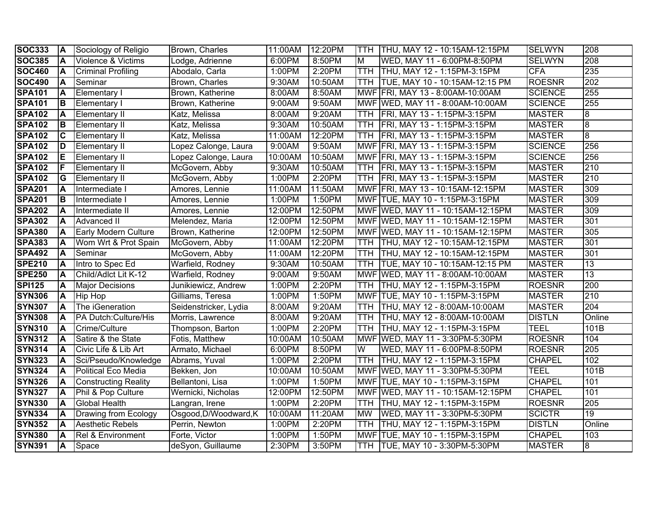| <b>SOC333</b> | <b>A</b> | Sociology of Religio         | Brown, Charles        | 11:00AM | 12:20PM |            | TTH THU, MAY 12 - 10:15AM-12:15PM    | <b>SELWYN</b>  | 208              |
|---------------|----------|------------------------------|-----------------------|---------|---------|------------|--------------------------------------|----------------|------------------|
| <b>SOC385</b> | ΙA       | Violence & Victims           | Lodge, Adrienne       | 6:00PM  | 8:50PM  | M          | WED, MAY 11 - 6:00PM-8:50PM          | <b>SELWYN</b>  | 208              |
| <b>SOC460</b> | ΙA       | <b>Criminal Profiling</b>    | Abodalo, Carla        | 1:00PM  | 2:20PM  |            | TTH   THU, MAY 12 - 1:15PM-3:15PM    | <b>CFA</b>     | 235              |
| <b>SOC490</b> | İΑ       | Seminar                      | Brown, Charles        | 9:30AM  | 10:50AM |            | TTH TUE, MAY 10 - 10:15AM-12:15 PM   | <b>ROESNR</b>  | 202              |
| <b>SPA101</b> | IА       | <b>Elementary I</b>          | Brown, Katherine      | 8:00AM  | 8:50AM  |            | MWF FRI, MAY 13 - 8:00AM-10:00AM     | <b>SCIENCE</b> | 255              |
| <b>SPA101</b> | Iв       | <b>Elementary I</b>          | Brown, Katherine      | 9:00AM  | 9:50AM  |            | MWF WED, MAY 11 - 8:00AM-10:00AM     | <b>SCIENCE</b> | 255              |
| <b>SPA102</b> | <b>A</b> | <b>Elementary II</b>         | Katz, Melissa         | 8:00AM  | 9:20AM  |            | TTH FRI, MAY 13 - 1:15PM-3:15PM      | <b>MASTER</b>  | 8                |
| <b>SPA102</b> | Iв       | <b>Elementary II</b>         | Katz, Melissa         | 9:30AM  | 10:50AM |            | TTH FRI, MAY 13 - 1:15PM-3:15PM      | <b>MASTER</b>  | 8                |
| <b>SPA102</b> | IC       | <b>Elementary II</b>         | Katz, Melissa         | 11:00AM | 12:20PM |            | TTH FRI, MAY 13 - 1:15PM-3:15PM      | <b>MASTER</b>  | 8                |
| <b>SPA102</b> | ID       | <b>Elementary II</b>         | Lopez Calonge, Laura  | 9:00AM  | 9:50AM  |            | MWF FRI, MAY 13 - 1:15PM-3:15PM      | <b>SCIENCE</b> | 256              |
| <b>SPA102</b> | ΙE       | <b>Elementary II</b>         | Lopez Calonge, Laura  | 10:00AM | 10:50AM |            | MWF FRI, MAY 13 - 1:15PM-3:15PM      | <b>SCIENCE</b> | 256              |
| <b>SPA102</b> | IF       | <b>Elementary II</b>         | McGovern, Abby        | 9:30AM  | 10:50AM |            | TTH   FRI, MAY 13 - 1:15PM-3:15PM    | <b>MASTER</b>  | 210              |
| <b>SPA102</b> | lG       | <b>Elementary II</b>         | McGovern, Abby        | 1:00PM  | 2:20PM  |            | TTH   FRI, MAY 13 - 1:15PM-3:15PM    | <b>MASTER</b>  | 210              |
| <b>SPA201</b> | A        | Intermediate I               | Amores, Lennie        | 11:00AM | 11:50AM |            | MWF FRI, MAY 13 - 10:15AM-12:15PM    | <b>MASTER</b>  | 309              |
| <b>SPA201</b> | lв       | Intermediate I               | Amores, Lennie        | 1:00PM  | 1:50PM  |            | MWF TUE, MAY 10 - 1:15PM-3:15PM      | <b>MASTER</b>  | 309              |
| <b>SPA202</b> | ΙA       | Intermediate II              | Amores, Lennie        | 12:00PM | 12:50PM |            | MWF WED, MAY 11 - 10:15AM-12:15PM    | <b>MASTER</b>  | 309              |
| <b>SPA302</b> | ΙA       | <b>Advanced II</b>           | Melendez, Maria       | 12:00PM | 12:50PM |            | MWF WED, MAY 11 - 10:15AM-12:15PM    | <b>MASTER</b>  | 301              |
| <b>SPA380</b> | ΙA       | <b>Early Modern Culture</b>  | Brown, Katherine      | 12:00PM | 12:50PM |            | MWF WED, MAY 11 - 10:15AM-12:15PM    | <b>MASTER</b>  | 305              |
| <b>SPA383</b> | ΙA       | Wom Wrt & Prot Spain         | McGovern, Abby        | 11:00AM | 12:20PM |            | TTH  THU, MAY 12 - 10:15AM-12:15PM   | <b>MASTER</b>  | 301              |
| <b>SPA492</b> | A        | Seminar                      | McGovern, Abby        | 11:00AM | 12:20PM |            | TTH  THU, MAY 12 - 10:15AM-12:15PM   | <b>MASTER</b>  | 301              |
| <b>SPE210</b> | ΙA       | Intro to Spec Ed             | Warfield, Rodney      | 9:30AM  | 10:50AM |            | TTH   TUE, MAY 10 - 10:15AM-12:15 PM | <b>MASTER</b>  | $\overline{13}$  |
| <b>SPE250</b> | A        | Child/Adlct Lit K-12         | Warfield, Rodney      | 9:00AM  | 9:50AM  |            | MWF WED, MAY 11 - 8:00AM-10:00AM     | <b>MASTER</b>  | $\overline{13}$  |
| <b>SPI125</b> | ΙA       | <b>Major Decisions</b>       | Junikiewicz, Andrew   | 1:00PM  | 2:20PM  | TTH.       | THU, MAY 12 - 1:15PM-3:15PM          | <b>ROESNR</b>  | $\overline{200}$ |
| <b>SYN306</b> | A        | <b>Hip Hop</b>               | Gilliams, Teresa      | 1:00PM  | 1:50PM  |            | MWF TUE, MAY 10 - 1:15PM-3:15PM      | <b>MASTER</b>  | $\overline{210}$ |
| <b>SYN307</b> | ΙA       | The iGeneration              | Seidenstricker, Lydia | 8:00AM  | 9:20AM  |            | TTH  THU, MAY 12 - 8:00AM-10:00AM    | <b>MASTER</b>  | 204              |
| <b>SYN308</b> | ΙA       | PA Dutch: Culture/His        | Morris, Lawrence      | 8:00AM  | 9:20AM  | <b>TTH</b> | THU, MAY 12 - 8:00AM-10:00AM         | <b>DISTLN</b>  | Online           |
| <b>SYN310</b> | ΙA       | Crime/Culture                | Thompson, Barton      | 1:00PM  | 2:20PM  | <b>TTH</b> | THU, MAY 12 - 1:15PM-3:15PM          | TEEL           | 101B             |
| <b>SYN312</b> | İΑ       | Satire & the State           | Fotis, Matthew        | 10:00AM | 10:50AM |            | MWF WED, MAY 11 - 3:30PM-5:30PM      | <b>ROESNR</b>  | 104              |
| <b>SYN314</b> | ΙA       | Civic Life & Lib Art         | Armato, Michael       | 6:00PM  | 8:50PM  | W          | WED, MAY 11 - 6:00PM-8:50PM          | <b>ROESNR</b>  | 205              |
| <b>SYN323</b> | ΙA       | Sci/Pseudo/Knowledge         | Abrams, Yuval         | 1:00PM  | 2:20PM  | <b>TTH</b> | THU, MAY 12 - 1:15PM-3:15PM          | <b>CHAPEL</b>  | 102              |
| <b>SYN324</b> | ΙA       | Political Eco Media          | Bekken, Jon           | 10:00AM | 10:50AM |            | MWF WED, MAY 11 - 3:30PM-5:30PM      | <b>TEEL</b>    | 101B             |
| <b>SYN326</b> | ΙA       | <b>Constructing Reality</b>  | Bellantoni, Lisa      | 1:00PM  | 1:50PM  |            | MWF TUE, MAY 10 - 1:15PM-3:15PM      | <b>CHAPEL</b>  | 101              |
| <b>SYN327</b> | İΑ       | Phil & Pop Culture           | Wernicki, Nicholas    | 12:00PM | 12:50PM |            | MWF WED, MAY 11 - 10:15AM-12:15PM    | <b>CHAPEL</b>  | 101              |
| <b>SYN330</b> | İΑ       | <b>Global Health</b>         | Langran, Irene        | 1:00PM  | 2:20PM  | <b>TTH</b> | THU, MAY 12 - 1:15PM-3:15PM          | <b>ROESNR</b>  | 205              |
| <b>SYN334</b> | İΑ       | Drawing from Ecology         | Osgood, D/Woodward, K | 10:00AM | 11:20AM | <b>MW</b>  | WED, MAY 11 - 3:30PM-5:30PM          | <b>SCICTR</b>  | $\overline{19}$  |
| <b>SYN352</b> | ΙA       | <b>Aesthetic Rebels</b>      | Perrin, Newton        | 1:00PM  | 2:20PM  | <b>TTH</b> | THU, MAY 12 - 1:15PM-3:15PM          | <b>DISTLN</b>  | Online           |
| <b>SYN380</b> | İΑ       | <b>Rel &amp; Environment</b> | Forte, Victor         | 1:00PM  | 1:50PM  |            | MWF TUE, MAY 10 - 1:15PM-3:15PM      | <b>CHAPEL</b>  | 103              |
| <b>SYN391</b> | <b>A</b> | Space                        | deSyon, Guillaume     | 2:30PM  | 3:50PM  |            | TTH TUE, MAY 10 - 3:30PM-5:30PM      | <b>MASTER</b>  | œ                |